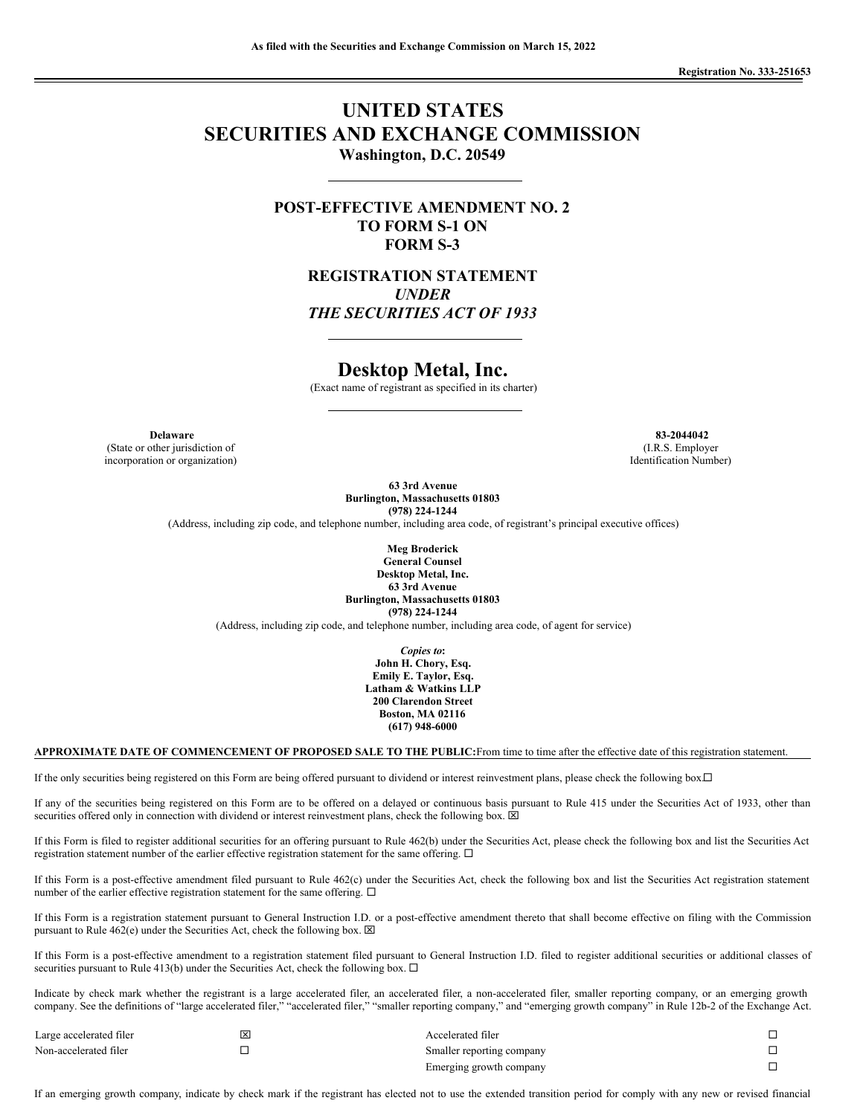# **UNITED STATES SECURITIES AND EXCHANGE COMMISSION Washington, D.C. 20549**

**POST-EFFECTIVE AMENDMENT NO. 2 TO FORM S-1 ON FORM S-3**

> **REGISTRATION STATEMENT** *UNDER THE SECURITIES ACT OF 1933*

## **Desktop Metal, Inc.**

(Exact name of registrant as specified in its charter)

**Delaware 83-2044042**

(State or other jurisdiction of incorporation or organization)

(I.R.S. Employer Identification Number)

**63 3rd Avenue Burlington, Massachusetts 01803 (978) 224-1244**

(Address, including zip code, and telephone number, including area code, of registrant's principal executive offices)

**Meg Broderick General Counsel Desktop Metal, Inc. 63 3rd Avenue Burlington, Massachusetts 01803 (978) 224-1244**

(Address, including zip code, and telephone number, including area code, of agent for service)

*Copies to***: John H. Chory, Esq. Emily E. Taylor, Esq. Latham & Watkins LLP 200 Clarendon Street Boston, MA 02116 (617) 948-6000**

## **APPROXIMATE DATE OF COMMENCEMENT OF PROPOSED SALE TO THE PUBLIC:**From time to time after the effective date of this registration statement.

If the only securities being registered on this Form are being offered pursuant to dividend or interest reinvestment plans, please check the following box. $\Box$ 

If any of the securities being registered on this Form are to be offered on a delayed or continuous basis pursuant to Rule 415 under the Securities Act of 1933, other than securities offered only in connection with dividend or interest reinvestment plans, check the following box.  $\boxtimes$ 

If this Form is filed to register additional securities for an offering pursuant to Rule 462(b) under the Securities Act, please check the following box and list the Securities Act registration statement number of the earlier effective registration statement for the same offering.  $\Box$ 

If this Form is a post-effective amendment filed pursuant to Rule 462(c) under the Securities Act, check the following box and list the Securities Act registration statement number of the earlier effective registration statement for the same offering.  $\Box$ 

If this Form is a registration statement pursuant to General Instruction I.D. or a post-effective amendment thereto that shall become effective on filing with the Commission pursuant to Rule  $462(e)$  under the Securities Act, check the following box.  $\boxtimes$ 

If this Form is a post-effective amendment to a registration statement filed pursuant to General Instruction I.D. filed to register additional securities or additional classes of securities pursuant to Rule 413(b) under the Securities Act, check the following box.  $\Box$ 

Indicate by check mark whether the registrant is a large accelerated filer, an accelerated filer, a non-accelerated filer, smaller reporting company, or an emerging growth company. See the definitions of "large accelerated filer," "accelerated filer," "smaller reporting company," and "emerging growth company" in Rule 12b-2 of the Exchange Act.

| Large accelerated filer | x | Accelerated filer         |  |
|-------------------------|---|---------------------------|--|
| Non-accelerated filer   |   | Smaller reporting company |  |
|                         |   | Emerging growth company   |  |

If an emerging growth company, indicate by check mark if the registrant has elected not to use the extended transition period for comply with any new or revised financial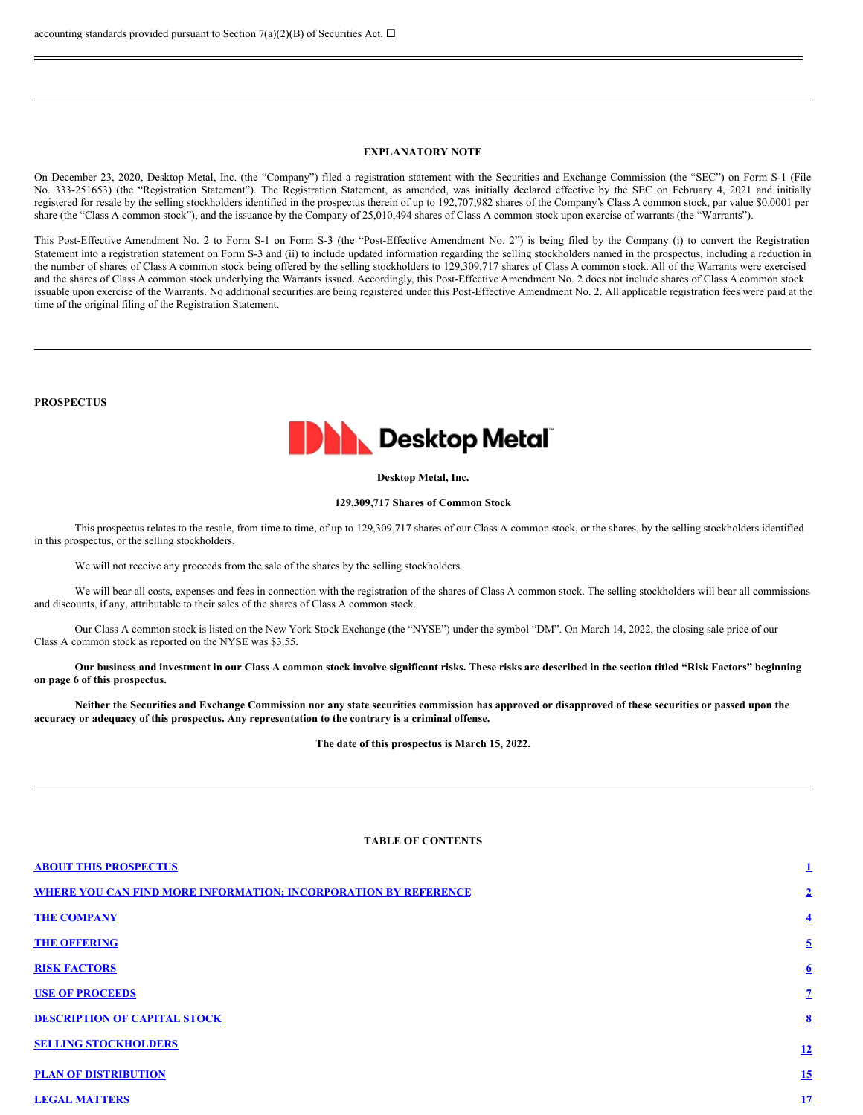## **EXPLANATORY NOTE**

On December 23, 2020, Desktop Metal, Inc. (the "Company") filed a registration statement with the Securities and Exchange Commission (the "SEC") on Form S-1 (File No. 333-251653) (the "Registration Statement"). The Registration Statement, as amended, was initially declared effective by the SEC on February 4, 2021 and initially registered for resale by the selling stockholders identified in the prospectus therein of up to 192,707,982 shares of the Company's Class A common stock, par value \$0.0001 per share (the "Class A common stock"), and the issuance by the Company of 25,010,494 shares of Class A common stock upon exercise of warrants (the "Warrants").

This Post-Effective Amendment No. 2 to Form S-1 on Form S-3 (the "Post-Effective Amendment No. 2") is being filed by the Company (i) to convert the Registration Statement into a registration statement on Form S-3 and (ii) to include updated information regarding the selling stockholders named in the prospectus, including a reduction in the number of shares of Class A common stock being offered by the selling stockholders to 129,309,717 shares of Class A common stock. All of the Warrants were exercised and the shares of Class A common stock underlying the Warrants issued. Accordingly, this Post-Effective Amendment No. 2 does not include shares of Class A common stock issuable upon exercise of the Warrants. No additional securities are being registered under this Post-Effective Amendment No. 2. All applicable registration fees were paid at the time of the original filing of the Registration Statement.

**PROSPECTUS**



## **Desktop Metal, Inc.**

#### **129,309,717 Shares of Common Stock**

This prospectus relates to the resale, from time to time, of up to 129,309,717 shares of our Class A common stock, or the shares, by the selling stockholders identified in this prospectus, or the selling stockholders.

We will not receive any proceeds from the sale of the shares by the selling stockholders.

We will bear all costs, expenses and fees in connection with the registration of the shares of Class A common stock. The selling stockholders will bear all commissions and discounts, if any, attributable to their sales of the shares of Class A common stock.

Our Class A common stock is listed on the New York Stock Exchange (the "NYSE") under the symbol "DM". On March 14, 2022, the closing sale price of our Class A common stock as reported on the NYSE was \$3.55.

Our business and investment in our Class A common stock involve significant risks. These risks are described in the section titled "Risk Factors" beginning **on page 6 of this prospectus.**

Neither the Securities and Exchange Commission nor any state securities commission has approved or disapproved of these securities or passed upon the **accuracy or adequacy of this prospectus. Any representation to the contrary is a criminal offense.**

**The date of this prospectus is March 15, 2022.**

## **TABLE OF CONTENTS**

| <b>ABOUT THIS PROSPECTUS</b>                                           | 1                       |
|------------------------------------------------------------------------|-------------------------|
| <b>WHERE YOU CAN FIND MORE INFORMATION; INCORPORATION BY REFERENCE</b> | $\overline{2}$          |
| <b>THE COMPANY</b>                                                     | $\overline{\mathbf{4}}$ |
| <b>THE OFFERING</b>                                                    | $\overline{5}$          |
| <b>RISK FACTORS</b>                                                    | $6 \overline{6}$        |
| <b>USE OF PROCEEDS</b>                                                 | $\mathbf{Z}$            |
| <b>DESCRIPTION OF CAPITAL STOCK</b>                                    | $\bf{8}$                |
| <b>SELLING STOCKHOLDERS</b>                                            | 12                      |
| <b>PLAN OF DISTRIBUTION</b>                                            | 15                      |
| <b>LEGAL MATTERS</b>                                                   | 17                      |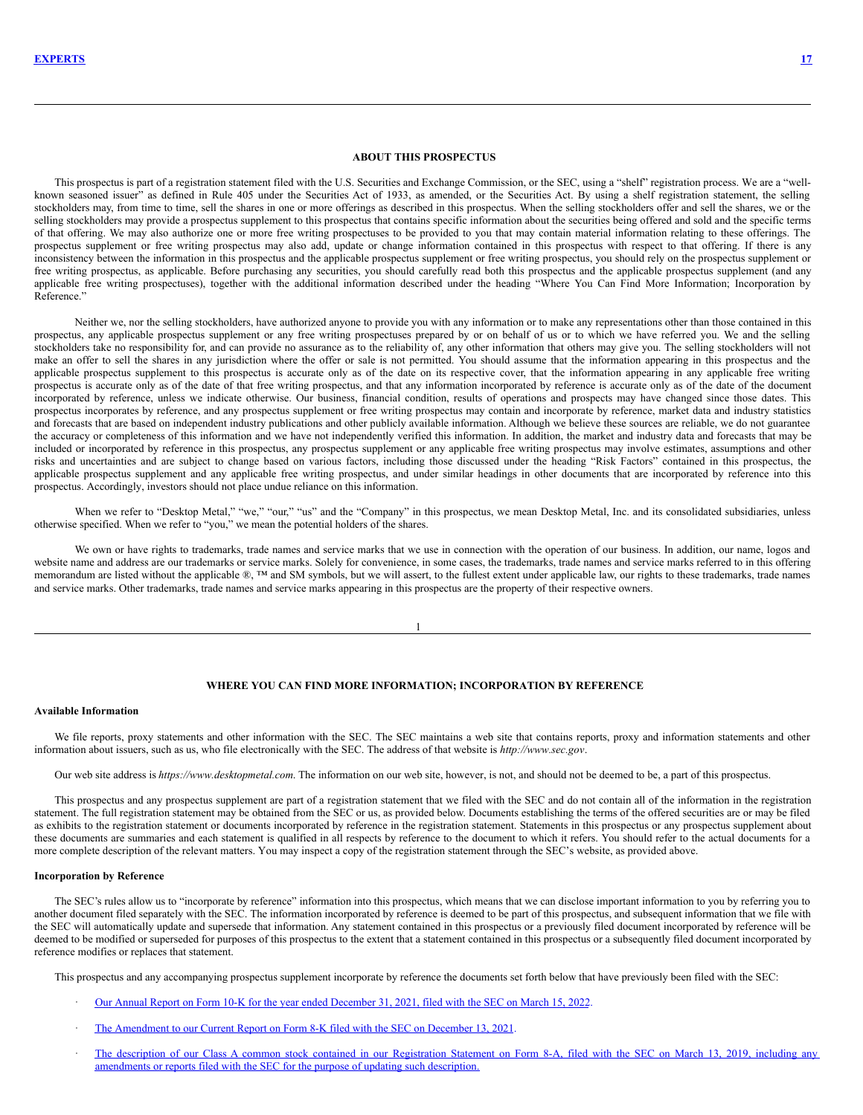<span id="page-2-0"></span>This prospectus is part of a registration statement filed with the U.S. Securities and Exchange Commission, or the SEC, using a "shelf" registration process. We are a "wellknown seasoned issuer" as defined in Rule 405 under the Securities Act of 1933, as amended, or the Securities Act. By using a shelf registration statement, the selling stockholders may, from time to time, sell the shares in one or more offerings as described in this prospectus. When the selling stockholders offer and sell the shares, we or the selling stockholders may provide a prospectus supplement to this prospectus that contains specific information about the securities being offered and sold and the specific terms of that offering. We may also authorize one or more free writing prospectuses to be provided to you that may contain material information relating to these offerings. The prospectus supplement or free writing prospectus may also add, update or change information contained in this prospectus with respect to that offering. If there is any inconsistency between the information in this prospectus and the applicable prospectus supplement or free writing prospectus, you should rely on the prospectus supplement or free writing prospectus, as applicable. Before purchasing any securities, you should carefully read both this prospectus and the applicable prospectus supplement (and any applicable free writing prospectuses), together with the additional information described under the heading "Where You Can Find More Information; Incorporation by Reference."

Neither we, nor the selling stockholders, have authorized anyone to provide you with any information or to make any representations other than those contained in this prospectus, any applicable prospectus supplement or any free writing prospectuses prepared by or on behalf of us or to which we have referred you. We and the selling stockholders take no responsibility for, and can provide no assurance as to the reliability of, any other information that others may give you. The selling stockholders will not make an offer to sell the shares in any jurisdiction where the offer or sale is not permitted. You should assume that the information appearing in this prospectus and the applicable prospectus supplement to this prospectus is accurate only as of the date on its respective cover, that the information appearing in any applicable free writing prospectus is accurate only as of the date of that free writing prospectus, and that any information incorporated by reference is accurate only as of the date of the document incorporated by reference, unless we indicate otherwise. Our business, financial condition, results of operations and prospects may have changed since those dates. This prospectus incorporates by reference, and any prospectus supplement or free writing prospectus may contain and incorporate by reference, market data and industry statistics and forecasts that are based on independent industry publications and other publicly available information. Although we believe these sources are reliable, we do not guarantee the accuracy or completeness of this information and we have not independently verified this information. In addition, the market and industry data and forecasts that may be included or incorporated by reference in this prospectus, any prospectus supplement or any applicable free writing prospectus may involve estimates, assumptions and other risks and uncertainties and are subject to change based on various factors, including those discussed under the heading "Risk Factors" contained in this prospectus, the applicable prospectus supplement and any applicable free writing prospectus, and under similar headings in other documents that are incorporated by reference into this prospectus. Accordingly, investors should not place undue reliance on this information.

When we refer to "Desktop Metal," "we," "our," "us" and the "Company" in this prospectus, we mean Desktop Metal, Inc. and its consolidated subsidiaries, unless otherwise specified. When we refer to "you," we mean the potential holders of the shares.

We own or have rights to trademarks, trade names and service marks that we use in connection with the operation of our business. In addition, our name, logos and website name and address are our trademarks or service marks. Solely for convenience, in some cases, the trademarks, trade names and service marks referred to in this offering memorandum are listed without the applicable ®, ™ and SM symbols, but we will assert, to the fullest extent under applicable law, our rights to these trademarks, trade names and service marks. Other trademarks, trade names and service marks appearing in this prospectus are the property of their respective owners.

1

## <span id="page-2-1"></span>**WHERE YOU CAN FIND MORE INFORMATION; INCORPORATION BY REFERENCE**

## **Available Information**

We file reports, proxy statements and other information with the SEC. The SEC maintains a web site that contains reports, proxy and information statements and other information about issuers, such as us, who file electronically with the SEC. The address of that website is *http://www.sec.gov*.

Our web site address is *https://www.desktopmetal.com*. The information on our web site, however, is not, and should not be deemed to be, a part of this prospectus.

This prospectus and any prospectus supplement are part of a registration statement that we filed with the SEC and do not contain all of the information in the registration statement. The full registration statement may be obtained from the SEC or us, as provided below. Documents establishing the terms of the offered securities are or may be filed as exhibits to the registration statement or documents incorporated by reference in the registration statement. Statements in this prospectus or any prospectus supplement about these documents are summaries and each statement is qualified in all respects by reference to the document to which it refers. You should refer to the actual documents for a more complete description of the relevant matters. You may inspect a copy of the registration statement through the SEC's website, as provided above.

#### **Incorporation by Reference**

The SEC's rules allow us to "incorporate by reference" information into this prospectus, which means that we can disclose important information to you by referring you to another document filed separately with the SEC. The information incorporated by reference is deemed to be part of this prospectus, and subsequent information that we file with the SEC will automatically update and supersede that information. Any statement contained in this prospectus or a previously filed document incorporated by reference will be deemed to be modified or superseded for purposes of this prospectus to the extent that a statement contained in this prospectus or a subsequently filed document incorporated by reference modifies or replaces that statement.

This prospectus and any accompanying prospectus supplement incorporate by reference the documents set forth below that have previously been filed with the SEC:

- · Our Annual Report on Form 10-K for the year ended [December](https://www.sec.gov/ix?doc=/Archives/edgar/data/1754820/000155837022003681/dm-20211231x10k.htm) 31, 2021, filed with the SEC on March 15, 2022.
- The [Amendment](https://www.sec.gov/ix?doc=/Archives/edgar/data/1754820/000110465921149069/tm2134989d1_8k.htm) to our Current Report on Form 8-K filed with the SEC on December 13, 2021.
- The description of our Class A common stock contained in our [Registration](http://www.sec.gov/Archives/edgar/data/1754820/000121390019004020/f8a12b031319_trineacq.htm) Statement on Form 8-A, filed with the SEC on March 13, 2019, including any amendments or reports filed with the SEC for the purpose of updating such description.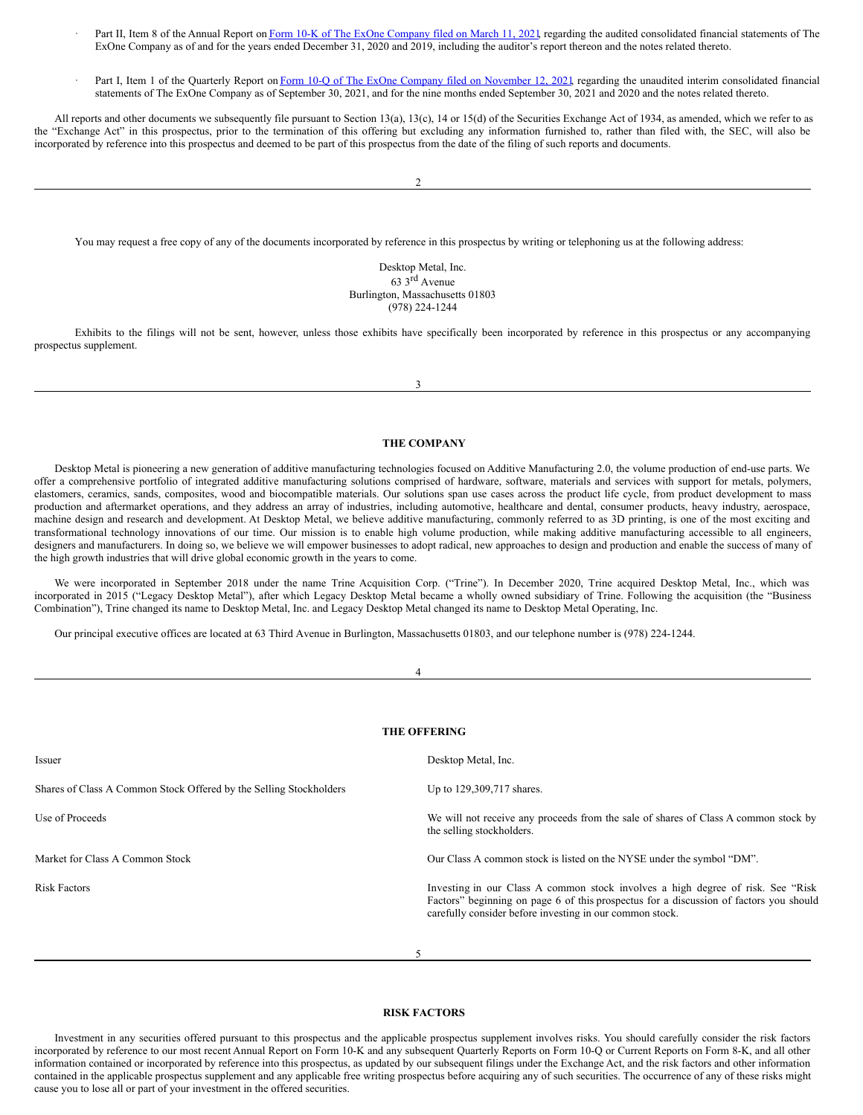- Part II, Item 8 of the Annual Report on Form 10-K of The ExOne [Company](https://www.sec.gov/ix?doc=/Archives/edgar/data/1561627/000156459021012530/xone-10k_20201231.htm) filed on March 11, 2021, regarding the audited consolidated financial statements of The ExOne Company as of and for the years ended December 31, 2020 and 2019, including the auditor's report thereon and the notes related thereto.
- Part I, Item 1 of the Quarterly Report on Form 10-Q of The ExOne Company filed on [November](https://www.sec.gov/ix?doc=/Archives/edgar/data/1561627/000156459021056420/xone-10q_20210930.htm) 12, 2021, regarding the unaudited interim consolidated financial statements of The ExOne Company as of September 30, 2021, and for the nine months ended September 30, 2021 and 2020 and the notes related thereto.

All reports and other documents we subsequently file pursuant to Section 13(a), 13(c), 14 or 15(d) of the Securities Exchange Act of 1934, as amended, which we refer to as the "Exchange Act" in this prospectus, prior to the termination of this offering but excluding any information furnished to, rather than filed with, the SEC, will also be incorporated by reference into this prospectus and deemed to be part of this prospectus from the date of the filing of such reports and documents.

You may request a free copy of any of the documents incorporated by reference in this prospectus by writing or telephoning us at the following address:

Desktop Metal, Inc. 63 3 rd Avenue Burlington, Massachusetts 01803 (978) 224-1244

Exhibits to the filings will not be sent, however, unless those exhibits have specifically been incorporated by reference in this prospectus or any accompanying prospectus supplement.

3

#### <span id="page-3-0"></span>**THE COMPANY**

Desktop Metal is pioneering a new generation of additive manufacturing technologies focused on Additive Manufacturing 2.0, the volume production of end-use parts. We offer a comprehensive portfolio of integrated additive manufacturing solutions comprised of hardware, software, materials and services with support for metals, polymers, elastomers, ceramics, sands, composites, wood and biocompatible materials. Our solutions span use cases across the product life cycle, from product development to mass production and aftermarket operations, and they address an array of industries, including automotive, healthcare and dental, consumer products, heavy industry, aerospace, machine design and research and development. At Desktop Metal, we believe additive manufacturing, commonly referred to as 3D printing, is one of the most exciting and transformational technology innovations of our time. Our mission is to enable high volume production, while making additive manufacturing accessible to all engineers, designers and manufacturers. In doing so, we believe we will empower businesses to adopt radical, new approaches to design and production and enable the success of many of the high growth industries that will drive global economic growth in the years to come.

We were incorporated in September 2018 under the name Trine Acquisition Corp. ("Trine"). In December 2020, Trine acquired Desktop Metal, Inc., which was incorporated in 2015 ("Legacy Desktop Metal"), after which Legacy Desktop Metal became a wholly owned subsidiary of Trine. Following the acquisition (the "Business Combination"), Trine changed its name to Desktop Metal, Inc. and Legacy Desktop Metal changed its name to Desktop Metal Operating, Inc.

Our principal executive offices are located at 63 Third Avenue in Burlington, Massachusetts 01803, and our telephone number is (978) 224-1244.

|                                                                    | <b>THE OFFERING</b>                                                                                                                                                                                                                    |
|--------------------------------------------------------------------|----------------------------------------------------------------------------------------------------------------------------------------------------------------------------------------------------------------------------------------|
| Issuer                                                             | Desktop Metal, Inc.                                                                                                                                                                                                                    |
| Shares of Class A Common Stock Offered by the Selling Stockholders | Up to 129,309,717 shares.                                                                                                                                                                                                              |
| Use of Proceeds                                                    | We will not receive any proceeds from the sale of shares of Class A common stock by<br>the selling stockholders.                                                                                                                       |
| Market for Class A Common Stock                                    | Our Class A common stock is listed on the NYSE under the symbol "DM".                                                                                                                                                                  |
| <b>Risk Factors</b>                                                | Investing in our Class A common stock involves a high degree of risk. See "Risk"<br>Factors" beginning on page 6 of this prospectus for a discussion of factors you should<br>carefully consider before investing in our common stock. |
|                                                                    | 5                                                                                                                                                                                                                                      |

## <span id="page-3-2"></span><span id="page-3-1"></span>**RISK FACTORS**

Investment in any securities offered pursuant to this prospectus and the applicable prospectus supplement involves risks. You should carefully consider the risk factors incorporated by reference to our most recent Annual Report on Form 10-K and any subsequent Quarterly Reports on Form 10-Q or Current Reports on Form 8-K, and all other information contained or incorporated by reference into this prospectus, as updated by our subsequent filings under the Exchange Act, and the risk factors and other information contained in the applicable prospectus supplement and any applicable free writing prospectus before acquiring any of such securities. The occurrence of any of these risks might cause you to lose all or part of your investment in the offered securities.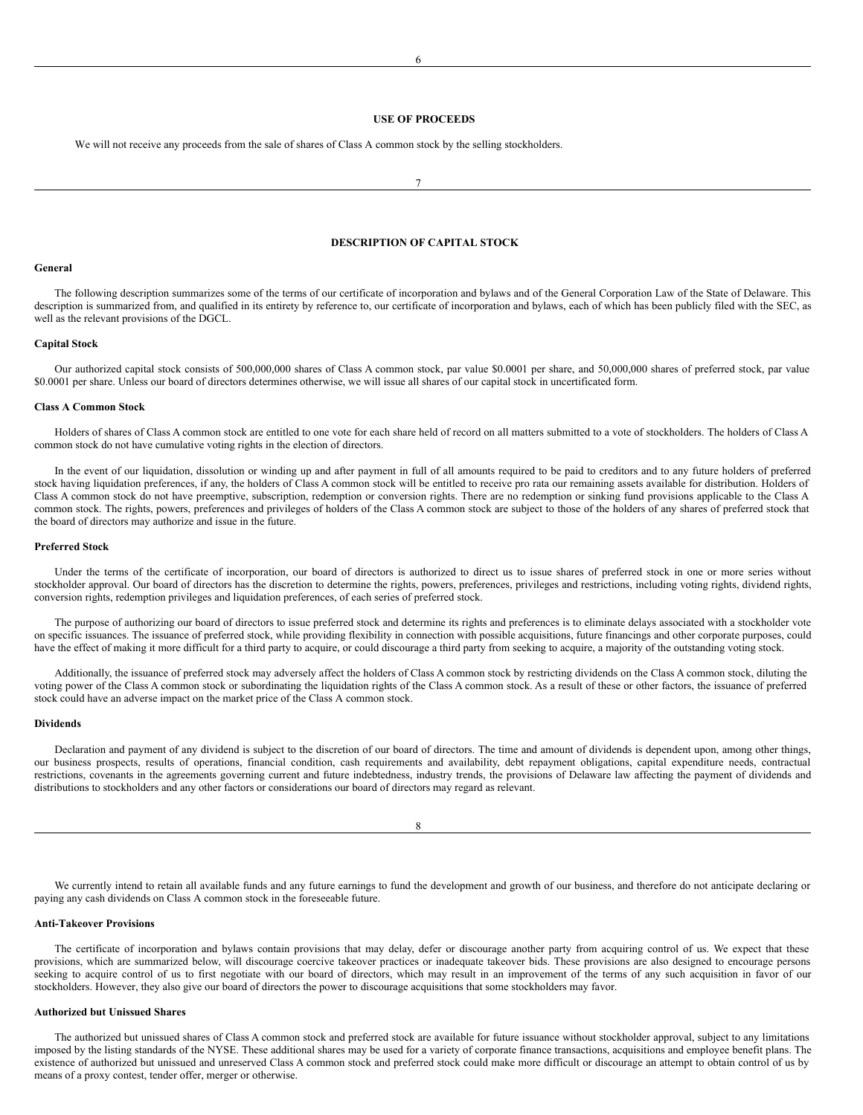#### <span id="page-4-0"></span>**USE OF PROCEEDS**

We will not receive any proceeds from the sale of shares of Class A common stock by the selling stockholders.

7

## <span id="page-4-1"></span>**DESCRIPTION OF CAPITAL STOCK**

#### **General**

The following description summarizes some of the terms of our certificate of incorporation and bylaws and of the General Corporation Law of the State of Delaware. This description is summarized from, and qualified in its entirety by reference to, our certificate of incorporation and bylaws, each of which has been publicly filed with the SEC, as well as the relevant provisions of the DGCL.

## **Capital Stock**

Our authorized capital stock consists of 500,000,000 shares of Class A common stock, par value \$0.0001 per share, and 50,000,000 shares of preferred stock, par value \$0.0001 per share. Unless our board of directors determines otherwise, we will issue all shares of our capital stock in uncertificated form.

#### **Class A Common Stock**

Holders of shares of Class A common stock are entitled to one vote for each share held of record on all matters submitted to a vote of stockholders. The holders of Class A common stock do not have cumulative voting rights in the election of directors.

In the event of our liquidation, dissolution or winding up and after payment in full of all amounts required to be paid to creditors and to any future holders of preferred stock having liquidation preferences, if any, the holders of Class A common stock will be entitled to receive pro rata our remaining assets available for distribution. Holders of Class A common stock do not have preemptive, subscription, redemption or conversion rights. There are no redemption or sinking fund provisions applicable to the Class A common stock. The rights, powers, preferences and privileges of holders of the Class A common stock are subject to those of the holders of any shares of preferred stock that the board of directors may authorize and issue in the future.

## **Preferred Stock**

Under the terms of the certificate of incorporation, our board of directors is authorized to direct us to issue shares of preferred stock in one or more series without stockholder approval. Our board of directors has the discretion to determine the rights, powers, preferences, privileges and restrictions, including voting rights, dividend rights, conversion rights, redemption privileges and liquidation preferences, of each series of preferred stock.

The purpose of authorizing our board of directors to issue preferred stock and determine its rights and preferences is to eliminate delays associated with a stockholder vote on specific issuances. The issuance of preferred stock, while providing flexibility in connection with possible acquisitions, future financings and other corporate purposes, could have the effect of making it more difficult for a third party to acquire, or could discourage a third party from seeking to acquire, a majority of the outstanding voting stock.

Additionally, the issuance of preferred stock may adversely affect the holders of Class A common stock by restricting dividends on the Class A common stock, diluting the voting power of the Class A common stock or subordinating the liquidation rights of the Class A common stock. As a result of these or other factors, the issuance of preferred stock could have an adverse impact on the market price of the Class A common stock.

#### **Dividends**

Declaration and payment of any dividend is subject to the discretion of our board of directors. The time and amount of dividends is dependent upon, among other things, our business prospects, results of operations, financial condition, cash requirements and availability, debt repayment obligations, capital expenditure needs, contractual restrictions, covenants in the agreements governing current and future indebtedness, industry trends, the provisions of Delaware law affecting the payment of dividends and distributions to stockholders and any other factors or considerations our board of directors may regard as relevant.

#### 8

We currently intend to retain all available funds and any future earnings to fund the development and growth of our business, and therefore do not anticipate declaring or paying any cash dividends on Class A common stock in the foreseeable future.

#### **Anti-Takeover Provisions**

The certificate of incorporation and bylaws contain provisions that may delay, defer or discourage another party from acquiring control of us. We expect that these provisions, which are summarized below, will discourage coercive takeover practices or inadequate takeover bids. These provisions are also designed to encourage persons seeking to acquire control of us to first negotiate with our board of directors, which may result in an improvement of the terms of any such acquisition in favor of our stockholders. However, they also give our board of directors the power to discourage acquisitions that some stockholders may favor.

## **Authorized but Unissued Shares**

The authorized but unissued shares of Class A common stock and preferred stock are available for future issuance without stockholder approval, subject to any limitations imposed by the listing standards of the NYSE. These additional shares may be used for a variety of corporate finance transactions, acquisitions and employee benefit plans. The existence of authorized but unissued and unreserved Class A common stock and preferred stock could make more difficult or discourage an attempt to obtain control of us by means of a proxy contest, tender offer, merger or otherwise.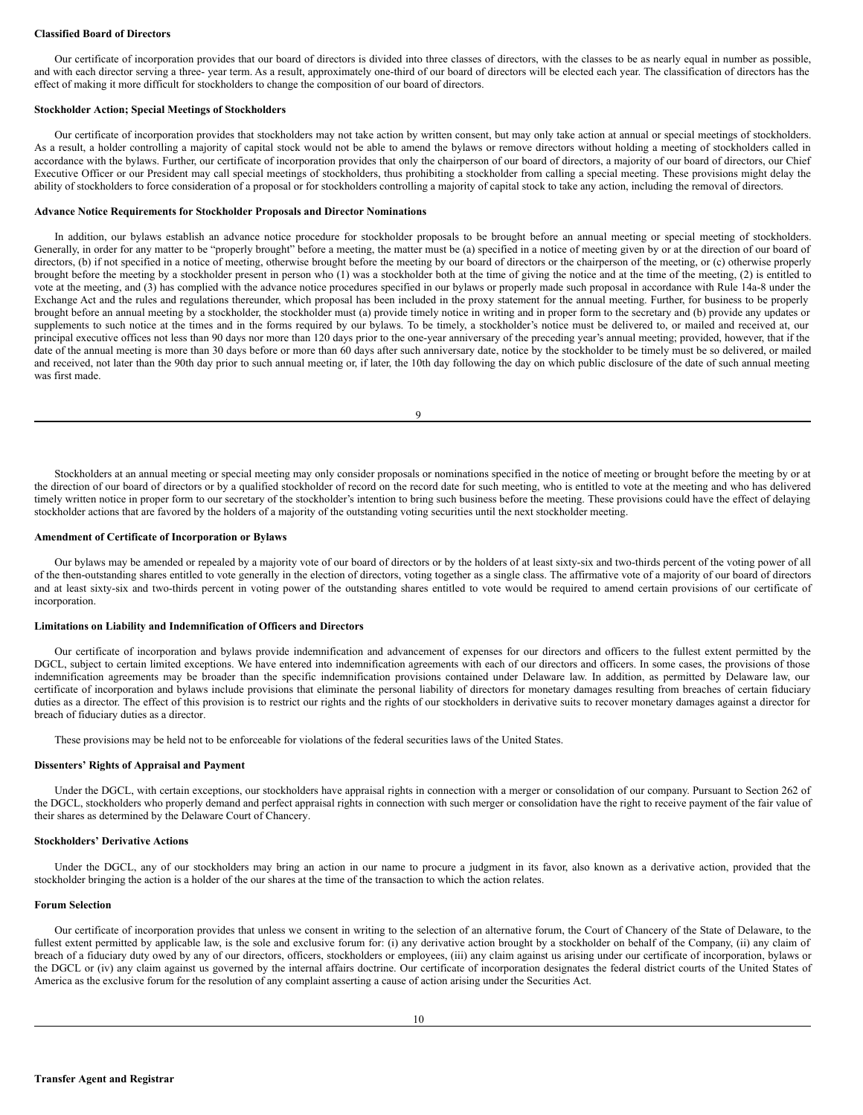#### **Classified Board of Directors**

Our certificate of incorporation provides that our board of directors is divided into three classes of directors, with the classes to be as nearly equal in number as possible, and with each director serving a three- year term. As a result, approximately one-third of our board of directors will be elected each year. The classification of directors has the effect of making it more difficult for stockholders to change the composition of our board of directors.

#### **Stockholder Action; Special Meetings of Stockholders**

Our certificate of incorporation provides that stockholders may not take action by written consent, but may only take action at annual or special meetings of stockholders. As a result, a holder controlling a majority of capital stock would not be able to amend the bylaws or remove directors without holding a meeting of stockholders called in accordance with the bylaws. Further, our certificate of incorporation provides that only the chairperson of our board of directors, a majority of our board of directors, our Chief Executive Officer or our President may call special meetings of stockholders, thus prohibiting a stockholder from calling a special meeting. These provisions might delay the ability of stockholders to force consideration of a proposal or for stockholders controlling a majority of capital stock to take any action, including the removal of directors.

#### **Advance Notice Requirements for Stockholder Proposals and Director Nominations**

In addition, our bylaws establish an advance notice procedure for stockholder proposals to be brought before an annual meeting or special meeting of stockholders. Generally, in order for any matter to be "properly brought" before a meeting, the matter must be (a) specified in a notice of meeting given by or at the direction of our board of directors, (b) if not specified in a notice of meeting, otherwise brought before the meeting by our board of directors or the chairperson of the meeting, or (c) otherwise properly brought before the meeting by a stockholder present in person who (1) was a stockholder both at the time of giving the notice and at the time of the meeting, (2) is entitled to vote at the meeting, and (3) has complied with the advance notice procedures specified in our bylaws or properly made such proposal in accordance with Rule 14a-8 under the Exchange Act and the rules and regulations thereunder, which proposal has been included in the proxy statement for the annual meeting. Further, for business to be properly brought before an annual meeting by a stockholder, the stockholder must (a) provide timely notice in writing and in proper form to the secretary and (b) provide any updates or supplements to such notice at the times and in the forms required by our bylaws. To be timely, a stockholder's notice must be delivered to, or mailed and received at, our principal executive offices not less than 90 days nor more than 120 days prior to the one-year anniversary of the preceding year's annual meeting; provided, however, that if the date of the annual meeting is more than 30 days before or more than 60 days after such anniversary date, notice by the stockholder to be timely must be so delivered, or mailed and received, not later than the 90th day prior to such annual meeting or, if later, the 10th day following the day on which public disclosure of the date of such annual meeting was first made.

9

Stockholders at an annual meeting or special meeting may only consider proposals or nominations specified in the notice of meeting or brought before the meeting by or at the direction of our board of directors or by a qualified stockholder of record on the record date for such meeting, who is entitled to vote at the meeting and who has delivered timely written notice in proper form to our secretary of the stockholder's intention to bring such business before the meeting. These provisions could have the effect of delaying stockholder actions that are favored by the holders of a majority of the outstanding voting securities until the next stockholder meeting.

#### **Amendment of Certificate of Incorporation or Bylaws**

Our bylaws may be amended or repealed by a majority vote of our board of directors or by the holders of at least sixty-six and two-thirds percent of the voting power of all of the then-outstanding shares entitled to vote generally in the election of directors, voting together as a single class. The affirmative vote of a majority of our board of directors and at least sixty-six and two-thirds percent in voting power of the outstanding shares entitled to vote would be required to amend certain provisions of our certificate of incorporation.

## **Limitations on Liability and Indemnification of Officers and Directors**

Our certificate of incorporation and bylaws provide indemnification and advancement of expenses for our directors and officers to the fullest extent permitted by the DGCL, subject to certain limited exceptions. We have entered into indemnification agreements with each of our directors and officers. In some cases, the provisions of those indemnification agreements may be broader than the specific indemnification provisions contained under Delaware law. In addition, as permitted by Delaware law, our certificate of incorporation and bylaws include provisions that eliminate the personal liability of directors for monetary damages resulting from breaches of certain fiduciary duties as a director. The effect of this provision is to restrict our rights and the rights of our stockholders in derivative suits to recover monetary damages against a director for breach of fiduciary duties as a director.

These provisions may be held not to be enforceable for violations of the federal securities laws of the United States.

#### **Dissenters' Rights of Appraisal and Payment**

Under the DGCL, with certain exceptions, our stockholders have appraisal rights in connection with a merger or consolidation of our company. Pursuant to Section 262 of the DGCL, stockholders who properly demand and perfect appraisal rights in connection with such merger or consolidation have the right to receive payment of the fair value of their shares as determined by the Delaware Court of Chancery.

#### **Stockholders' Derivative Actions**

Under the DGCL, any of our stockholders may bring an action in our name to procure a judgment in its favor, also known as a derivative action, provided that the stockholder bringing the action is a holder of the our shares at the time of the transaction to which the action relates.

#### **Forum Selection**

Our certificate of incorporation provides that unless we consent in writing to the selection of an alternative forum, the Court of Chancery of the State of Delaware, to the fullest extent permitted by applicable law, is the sole and exclusive forum for: (i) any derivative action brought by a stockholder on behalf of the Company, (ii) any claim of breach of a fiduciary duty owed by any of our directors, officers, stockholders or employees, (iii) any claim against us arising under our certificate of incorporation, bylaws or the DGCL or (iv) any claim against us governed by the internal affairs doctrine. Our certificate of incorporation designates the federal district courts of the United States of America as the exclusive forum for the resolution of any complaint asserting a cause of action arising under the Securities Act.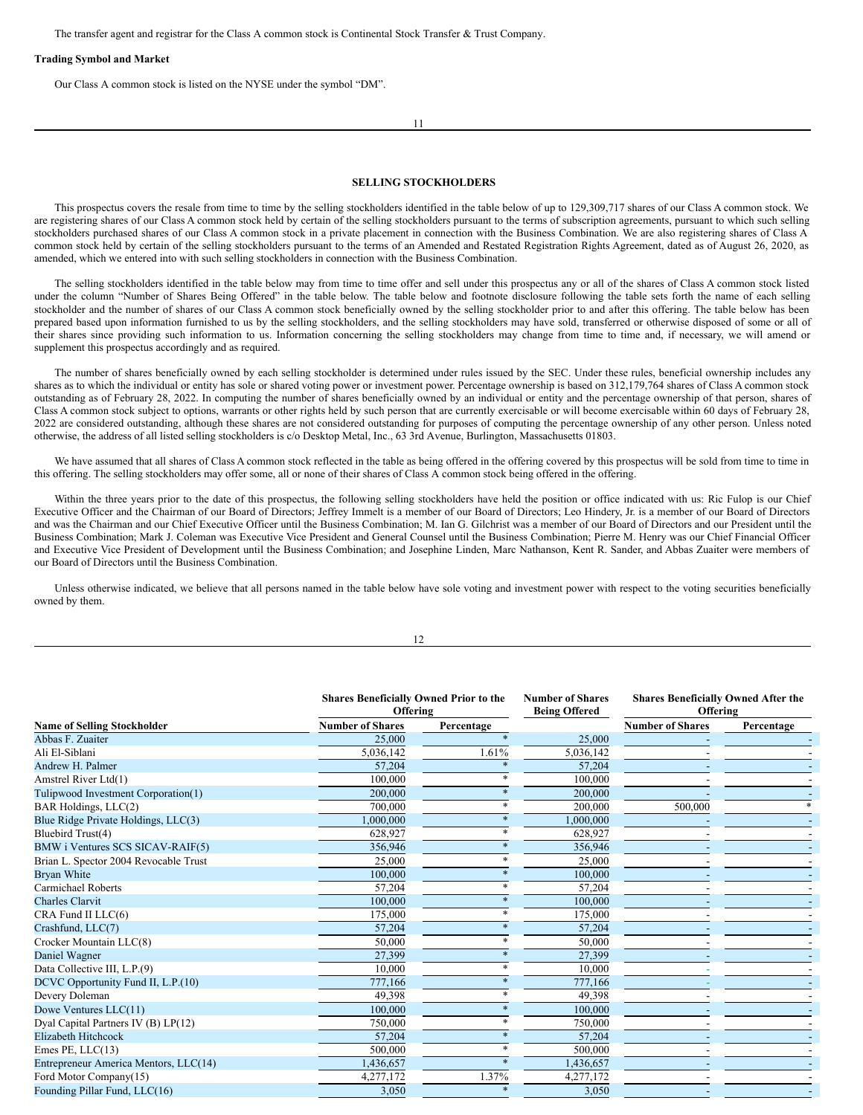The transfer agent and registrar for the Class A common stock is Continental Stock Transfer & Trust Company.

#### **Trading Symbol and Market**

Our Class A common stock is listed on the NYSE under the symbol "DM".

11

## <span id="page-6-0"></span>**SELLING STOCKHOLDERS**

This prospectus covers the resale from time to time by the selling stockholders identified in the table below of up to 129,309,717 shares of our Class A common stock. We are registering shares of our Class A common stock held by certain of the selling stockholders pursuant to the terms of subscription agreements, pursuant to which such selling stockholders purchased shares of our Class A common stock in a private placement in connection with the Business Combination. We are also registering shares of Class A common stock held by certain of the selling stockholders pursuant to the terms of an Amended and Restated Registration Rights Agreement, dated as of August 26, 2020, as amended, which we entered into with such selling stockholders in connection with the Business Combination.

The selling stockholders identified in the table below may from time to time offer and sell under this prospectus any or all of the shares of Class A common stock listed under the column "Number of Shares Being Offered" in the table below. The table below and footnote disclosure following the table sets forth the name of each selling stockholder and the number of shares of our Class A common stock beneficially owned by the selling stockholder prior to and after this offering. The table below has been prepared based upon information furnished to us by the selling stockholders, and the selling stockholders may have sold, transferred or otherwise disposed of some or all of their shares since providing such information to us. Information concerning the selling stockholders may change from time to time and, if necessary, we will amend or supplement this prospectus accordingly and as required.

The number of shares beneficially owned by each selling stockholder is determined under rules issued by the SEC. Under these rules, beneficial ownership includes any shares as to which the individual or entity has sole or shared voting power or investment power. Percentage ownership is based on 312,179,764 shares of Class A common stock outstanding as of February 28, 2022. In computing the number of shares beneficially owned by an individual or entity and the percentage ownership of that person, shares of Class A common stock subject to options, warrants or other rights held by such person that are currently exercisable or will become exercisable within 60 days of February 28, 2022 are considered outstanding, although these shares are not considered outstanding for purposes of computing the percentage ownership of any other person. Unless noted otherwise, the address of all listed selling stockholders is c/o Desktop Metal, Inc., 63 3rd Avenue, Burlington, Massachusetts 01803.

We have assumed that all shares of Class A common stock reflected in the table as being offered in the offering covered by this prospectus will be sold from time to time in this offering. The selling stockholders may offer some, all or none of their shares of Class A common stock being offered in the offering.

Within the three years prior to the date of this prospectus, the following selling stockholders have held the position or office indicated with us: Ric Fulop is our Chief Executive Officer and the Chairman of our Board of Directors; Jeffrey Immelt is a member of our Board of Directors; Leo Hindery, Jr. is a member of our Board of Directors and was the Chairman and our Chief Executive Officer until the Business Combination; M. Ian G. Gilchrist was a member of our Board of Directors and our President until the Business Combination; Mark J. Coleman was Executive Vice President and General Counsel until the Business Combination; Pierre M. Henry was our Chief Financial Officer and Executive Vice President of Development until the Business Combination; and Josephine Linden, Marc Nathanson, Kent R. Sander, and Abbas Zuaiter were members of our Board of Directors until the Business Combination.

Unless otherwise indicated, we believe that all persons named in the table below have sole voting and investment power with respect to the voting securities beneficially owned by them.

12

|                                       | <b>Shares Beneficially Owned Prior to the</b><br>Offering |            | <b>Number of Shares</b><br><b>Being Offered</b> | <b>Shares Beneficially Owned After the</b><br>Offering |            |
|---------------------------------------|-----------------------------------------------------------|------------|-------------------------------------------------|--------------------------------------------------------|------------|
| <b>Name of Selling Stockholder</b>    | <b>Number of Shares</b>                                   | Percentage |                                                 | <b>Number of Shares</b>                                | Percentage |
| Abbas F. Zuaiter                      | 25,000                                                    |            | 25,000                                          |                                                        |            |
| Ali El-Siblani                        | 5,036,142                                                 | 1.61%      | 5,036,142                                       |                                                        |            |
| Andrew H. Palmer                      | 57,204                                                    |            | 57,204                                          |                                                        |            |
| Amstrel River Ltd(1)                  | 100,000                                                   |            | 100,000                                         |                                                        |            |
| Tulipwood Investment Corporation(1)   | 200,000                                                   |            | 200,000                                         |                                                        |            |
| BAR Holdings, LLC(2)                  | 700,000                                                   |            | 200,000                                         | 500,000                                                |            |
| Blue Ridge Private Holdings, LLC(3)   | 1,000,000                                                 |            | 1,000,000                                       |                                                        |            |
| Bluebird Trust(4)                     | 628,927                                                   |            | 628,927                                         |                                                        |            |
| BMW i Ventures SCS SICAV-RAIF(5)      | 356,946                                                   |            | 356,946                                         |                                                        |            |
| Brian L. Spector 2004 Revocable Trust | 25,000                                                    |            | 25,000                                          |                                                        |            |
| Bryan White                           | 100,000                                                   |            | 100,000                                         |                                                        |            |
| Carmichael Roberts                    | 57,204                                                    |            | 57,204                                          |                                                        |            |
| <b>Charles Clarvit</b>                | 100,000                                                   |            | 100,000                                         |                                                        |            |
| CRA Fund II LLC(6)                    | 175,000                                                   |            | 175,000                                         |                                                        |            |
| Crashfund, LLC(7)                     | 57,204                                                    |            | 57,204                                          |                                                        |            |
| Crocker Mountain LLC(8)               | 50,000                                                    |            | 50,000                                          |                                                        |            |
| Daniel Wagner                         | 27,399                                                    |            | 27,399                                          |                                                        |            |
| Data Collective III, L.P.(9)          | 10,000                                                    |            | 10.000                                          |                                                        |            |
| DCVC Opportunity Fund II, L.P.(10)    | 777,166                                                   |            | 777,166                                         |                                                        |            |
| Devery Doleman                        | 49,398                                                    |            | 49,398                                          |                                                        |            |
| Dowe Ventures LLC(11)                 | 100,000                                                   |            | 100,000                                         |                                                        |            |
| Dyal Capital Partners IV (B) LP(12)   | 750,000                                                   |            | 750,000                                         |                                                        |            |
| <b>Elizabeth Hitchcock</b>            | 57,204                                                    |            | 57,204                                          |                                                        |            |
| Emes PE, LLC(13)                      | 500,000                                                   |            | 500,000                                         |                                                        |            |
| Entrepreneur America Mentors, LLC(14) | 1,436,657                                                 |            | 1,436,657                                       |                                                        |            |
| Ford Motor Company(15)                | 4,277,172                                                 | 1.37%      | 4,277,172                                       |                                                        |            |
| Founding Pillar Fund, LLC(16)         | 3,050                                                     | $\ast$     | 3,050                                           |                                                        |            |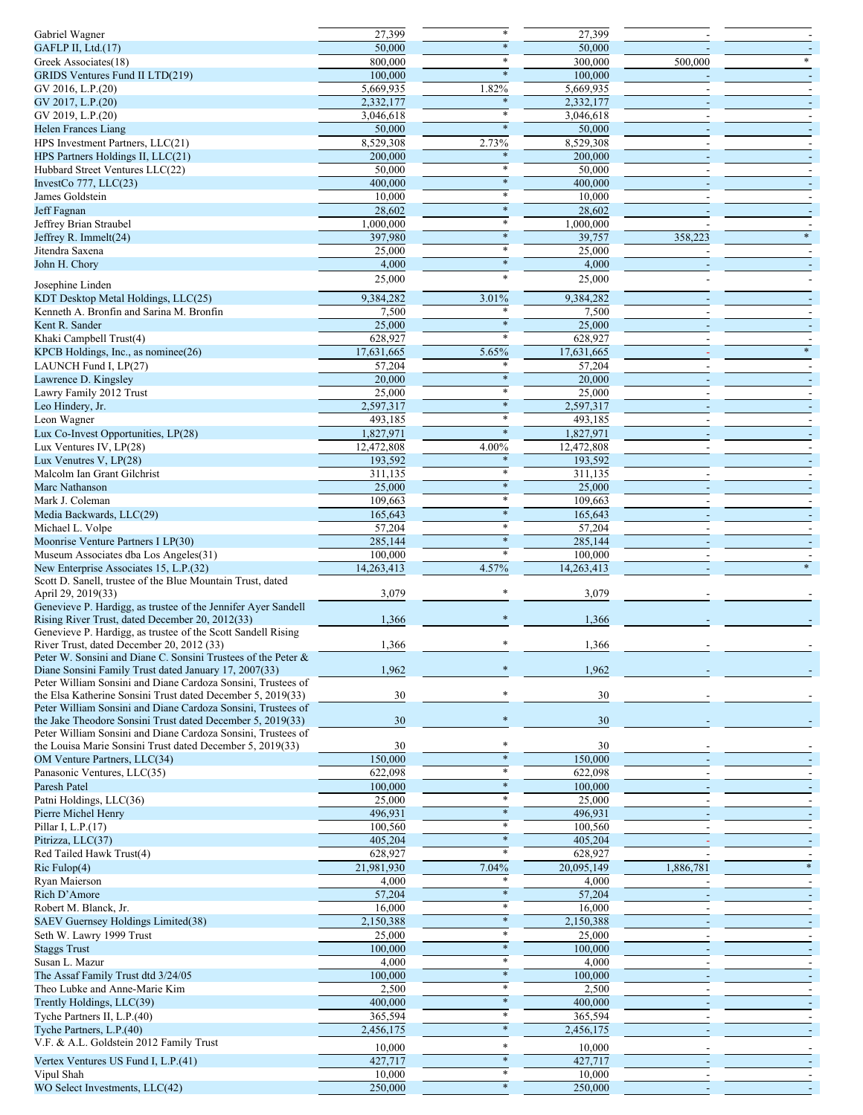| Gabriel Wagner                                                | 27,399              |        | 27,399                  |           |  |
|---------------------------------------------------------------|---------------------|--------|-------------------------|-----------|--|
| GAFLP II, Ltd.(17)                                            | 50,000              | $\ast$ | 50,000                  |           |  |
|                                                               | 800,000             | *      | 300,000                 |           |  |
| Greek Associates(18)                                          |                     |        |                         | 500,000   |  |
| GRIDS Ventures Fund II LTD(219)                               | 100,000             | $\ast$ | 100,000                 |           |  |
| GV 2016, L.P.(20)                                             | 5,669,935           | 1.82%  | 5,669,935               |           |  |
|                                                               |                     |        |                         |           |  |
| GV 2017, L.P.(20)                                             | 2,332,177           |        | 2,332,177               |           |  |
| GV 2019, L.P.(20)                                             | 3,046,618           | *      | 3,046,618               |           |  |
| <b>Helen Frances Liang</b>                                    | 50,000              | $\ast$ | 50,000                  |           |  |
|                                                               |                     |        |                         |           |  |
| HPS Investment Partners, LLC(21)                              | 8,529,308           | 2.73%  | 8,529,308               |           |  |
| HPS Partners Holdings II, LLC(21)                             | 200,000             |        | 200,000                 |           |  |
| Hubbard Street Ventures LLC(22)                               | 50,000              |        | 50,000                  |           |  |
|                                                               |                     | $\ast$ |                         |           |  |
| InvestCo $777$ , LLC $(23)$                                   | 400,000             |        | 400,000                 |           |  |
| James Goldstein                                               | 10,000              | *      | 10,000                  |           |  |
| Jeff Fagnan                                                   | 28,602              | $\ast$ | 28,602                  |           |  |
|                                                               |                     |        |                         |           |  |
| Jeffrey Brian Straubel                                        | 1,000,000           | $\ast$ | 1,000,000               |           |  |
| Jeffrey R. Immelt(24)                                         | 397,980             |        | 39,757                  | 358,223   |  |
| Jitendra Saxena                                               | 25,000              | $\ast$ | 25,000                  |           |  |
|                                                               |                     |        |                         |           |  |
| John H. Chory                                                 | 4,000               | $\ast$ | 4,000                   |           |  |
|                                                               | 25,000              | $\ast$ | 25,000                  |           |  |
| Josephine Linden                                              |                     |        |                         |           |  |
| KDT Desktop Metal Holdings, LLC(25)                           | 9,384,282           | 3.01%  | 9,384,282               |           |  |
|                                                               |                     |        |                         |           |  |
| Kenneth A. Bronfin and Sarina M. Bronfin                      | 7,500               |        | 7,500                   |           |  |
| Kent R. Sander                                                | 25,000              | $\ast$ | 25,000                  |           |  |
| Khaki Campbell Trust(4)                                       | 628,927             |        | 628,927                 |           |  |
|                                                               |                     |        |                         |           |  |
| KPCB Holdings, Inc., as nominee(26)                           | 17,631,665          | 5.65%  | 17,631,665              |           |  |
| LAUNCH Fund I, LP(27)                                         | $\overline{57,204}$ | *      | 57,204                  |           |  |
| Lawrence D. Kingsley                                          | 20,000              | $\ast$ | 20,000                  |           |  |
|                                                               |                     |        |                         |           |  |
| Lawry Family 2012 Trust                                       | 25,000              | $\ast$ | 25,000                  |           |  |
| Leo Hindery, Jr.                                              | 2,597,317           | *      | 2,597,317               |           |  |
|                                                               |                     | $\ast$ |                         |           |  |
| Leon Wagner                                                   | 493,185             |        | 493,185                 |           |  |
| Lux Co-Invest Opportunities, LP(28)                           | 1,827,971           | $\ast$ | 1,827,971               |           |  |
| Lux Ventures IV, LP(28)                                       | 12,472,808          | 4.00%  | 12,472,808              |           |  |
|                                                               |                     |        |                         |           |  |
| Lux Venutres V, LP(28)                                        | 193,592             | $\ast$ | 193,592                 |           |  |
| Malcolm Ian Grant Gilchrist                                   | 311,135             |        | 311,135                 |           |  |
| Marc Nathanson                                                | 25,000              | $\ast$ | 25,000                  |           |  |
|                                                               |                     |        |                         |           |  |
| Mark J. Coleman                                               | 109,663             | *      | 109,663                 |           |  |
| Media Backwards, LLC(29)                                      | 165,643             | $\ast$ | 165,643                 |           |  |
|                                                               |                     | *      |                         |           |  |
| Michael L. Volpe                                              | 57,204              |        | 57,204                  |           |  |
| Moonrise Venture Partners I LP(30)                            | 285,144             | *      | 285,144                 |           |  |
| Museum Associates dba Los Angeles(31)                         | 100,000             |        | 100,000                 |           |  |
|                                                               |                     |        |                         |           |  |
|                                                               |                     |        |                         |           |  |
| New Enterprise Associates 15, L.P.(32)                        | 14,263,413          | 4.57%  | 14,263,413              |           |  |
| Scott D. Sanell, trustee of the Blue Mountain Trust, dated    |                     |        |                         |           |  |
|                                                               |                     |        |                         |           |  |
| April 29, 2019(33)                                            | 3,079               |        | 3,079                   |           |  |
| Genevieve P. Hardigg, as trustee of the Jennifer Ayer Sandell |                     |        |                         |           |  |
| Rising River Trust, dated December 20, 2012(33)               | 1,366               |        | 1,366                   |           |  |
|                                                               |                     |        |                         |           |  |
| Genevieve P. Hardigg, as trustee of the Scott Sandell Rising  |                     |        |                         |           |  |
| River Trust, dated December 20, 2012 (33)                     | 1,366               |        | 1,366                   |           |  |
| Peter W. Sonsini and Diane C. Sonsini Trustees of the Peter & |                     |        |                         |           |  |
| Diane Sonsini Family Trust dated January 17, 2007(33)         |                     |        |                         |           |  |
|                                                               | 1,962               |        | 1,962                   |           |  |
| Peter William Sonsini and Diane Cardoza Sonsini, Trustees of  |                     |        |                         |           |  |
| the Elsa Katherine Sonsini Trust dated December 5, 2019(33)   | 30                  |        | 30                      |           |  |
| Peter William Sonsini and Diane Cardoza Sonsini, Trustees of  |                     |        |                         |           |  |
| the Jake Theodore Sonsini Trust dated December 5, 2019(33)    |                     |        |                         |           |  |
|                                                               | 30                  |        | 30                      |           |  |
| Peter William Sonsini and Diane Cardoza Sonsini, Trustees of  |                     |        |                         |           |  |
| the Louisa Marie Sonsini Trust dated December 5, 2019(33)     | 30                  |        | 30                      |           |  |
| OM Venture Partners, LLC(34)                                  | 150,000             |        | 150,000                 |           |  |
|                                                               |                     | $\ast$ |                         |           |  |
| Panasonic Ventures, LLC(35)                                   | 622,098             |        | 622,098                 |           |  |
| Paresh Patel                                                  | 100,000             |        | 100,000                 |           |  |
| Patni Holdings, LLC(36)                                       | 25,000              |        | 25,000                  |           |  |
|                                                               |                     | $\ast$ |                         |           |  |
| Pierre Michel Henry                                           | 496,931             |        | 496,931                 |           |  |
| Pillar I, L.P.(17)                                            | 100,560             | $\ast$ | 100,560                 |           |  |
| Pitrizza, LLC(37)                                             | 405,204             | $\ast$ | 405,204                 |           |  |
|                                                               |                     |        |                         |           |  |
| Red Tailed Hawk Trust(4)                                      | 628,927             |        | 628,927                 |           |  |
| Ric Fulop(4)                                                  | 21,981,930          | 7.04%  | $\overline{20,}095,149$ | 1,886,781 |  |
| Ryan Maierson                                                 |                     |        |                         |           |  |
|                                                               | 4,000               |        | 4,000                   |           |  |
| Rich D'Amore                                                  | 57,204              | $\ast$ | 57,204                  |           |  |
| Robert M. Blanck, Jr.                                         | 16,000              | $\ast$ | 16,000                  |           |  |
|                                                               |                     | $\ast$ |                         |           |  |
| SAEV Guernsey Holdings Limited(38)                            | 2,150,388           | $\ast$ | 2,150,388               |           |  |
| Seth W. Lawry 1999 Trust                                      | 25,000              |        | 25,000                  |           |  |
| <b>Staggs Trust</b>                                           | 100,000             | $\ast$ | 100,000                 |           |  |
|                                                               |                     | *      |                         |           |  |
| Susan L. Mazur                                                | 4,000               |        | 4,000                   |           |  |
| The Assaf Family Trust dtd 3/24/05                            | 100,000             | $\ast$ | 100,000                 |           |  |
| Theo Lubke and Anne-Marie Kim                                 | 2,500               |        | 2,500                   |           |  |
|                                                               |                     | $\ast$ |                         |           |  |
| Trently Holdings, LLC(39)                                     | 400,000             |        | 400,000                 |           |  |
| Tyche Partners II, L.P.(40)                                   | 365,594             | *      | 365,594                 |           |  |
|                                                               |                     | $\ast$ |                         |           |  |
| Tyche Partners, L.P.(40)                                      | 2,456,175           |        | 2,456,175               |           |  |
| V.F. & A.L. Goldstein 2012 Family Trust                       | 10,000              | *      | 10,000                  |           |  |
|                                                               |                     | $\ast$ |                         |           |  |
| Vertex Ventures US Fund I, L.P.(41)                           | 427,717             | $\ast$ | 427,717                 |           |  |
| Vipul Shah<br>WO Select Investments, LLC(42)                  | 10,000<br>250,000   | $\ast$ | 10,000<br>250,000       |           |  |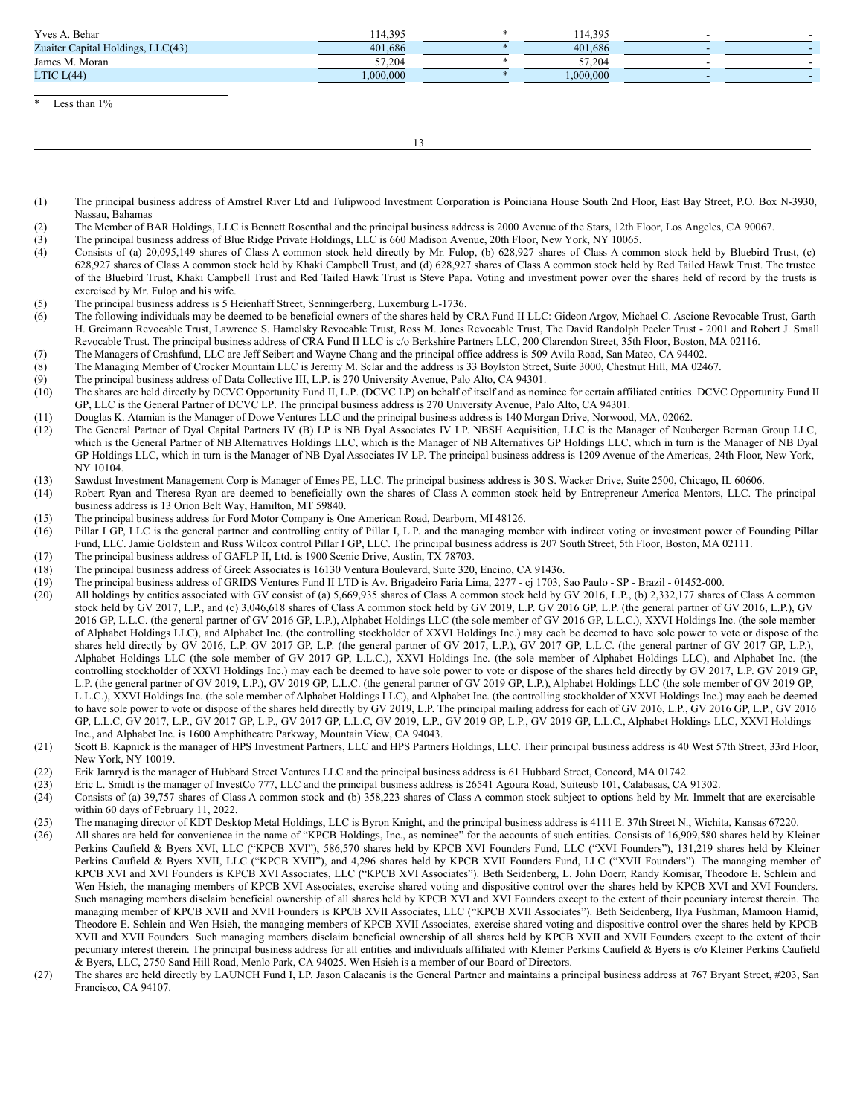| Yves A. Behar                                                   | 114.395  | 114,395  |  |
|-----------------------------------------------------------------|----------|----------|--|
| Zuaiter Capital Holdings, LLC(43)                               | 401,686  | 401.686  |  |
| James M. Moran                                                  | 57.204   | 57,204   |  |
| LTIC $L(44)$                                                    | .000.000 | .000.000 |  |
|                                                                 |          |          |  |
| $\mathbf{a}$ and $\mathbf{v}$ and $\mathbf{v}$ and $\mathbf{v}$ |          |          |  |

Less than  $1\%$ 

13

- (1) The principal business address of Amstrel River Ltd and Tulipwood Investment Corporation is Poinciana House South 2nd Floor, East Bay Street, P.O. Box N-3930, Nassau, Bahamas
- (2) The Member of BAR Holdings, LLC is Bennett Rosenthal and the principal business address is 2000 Avenue of the Stars, 12th Floor, Los Angeles, CA 90067.
- (3) The principal business address of Blue Ridge Private Holdings, LLC is 660 Madison Avenue, 20th Floor, New York, NY 10065.
- (4) Consists of (a) 20,095,149 shares of Class A common stock held directly by Mr. Fulop, (b) 628,927 shares of Class A common stock held by Bluebird Trust, (c) 628,927 shares of Class A common stock held by Khaki Campbell Trust, and (d) 628,927 shares of Class A common stock held by Red Tailed Hawk Trust. The trustee of the Bluebird Trust, Khaki Campbell Trust and Red Tailed Hawk Trust is Steve Papa. Voting and investment power over the shares held of record by the trusts is exercised by Mr. Fulop and his wife.
- (5) The principal business address is 5 Heienhaff Street, Senningerberg, Luxemburg L-1736.
- (6) The following individuals may be deemed to be beneficial owners of the shares held by CRA Fund II LLC: Gideon Argov, Michael C. Ascione Revocable Trust, Garth H. Greimann Revocable Trust, Lawrence S. Hamelsky Revocable Trust, Ross M. Jones Revocable Trust, The David Randolph Peeler Trust - 2001 and Robert J. Small Revocable Trust. The principal business address of CRA Fund II LLC is c/o Berkshire Partners LLC, 200 Clarendon Street, 35th Floor, Boston, MA 02116.
- (7) The Managers of Crashfund, LLC are Jeff Seibert and Wayne Chang and the principal office address is 509 Avila Road, San Mateo, CA 94402.
- (8) The Managing Member of Crocker Mountain LLC is Jeremy M. Sclar and the address is 33 Boylston Street, Suite 3000, Chestnut Hill, MA 02467.
- (9) The principal business address of Data Collective III, L.P. is 270 University Avenue, Palo Alto, CA 94301.
- (10) The shares are held directly by DCVC Opportunity Fund II, L.P. (DCVC LP) on behalf of itself and as nominee for certain affiliated entities. DCVC Opportunity Fund II GP, LLC is the General Partner of DCVC LP. The principal business address is 270 University Avenue, Palo Alto, CA 94301.
- (11) Douglas K. Atamian is the Manager of Dowe Ventures LLC and the principal business address is 140 Morgan Drive, Norwood, MA, 02062.
- (12) The General Partner of Dyal Capital Partners IV (B) LP is NB Dyal Associates IV LP. NBSH Acquisition, LLC is the Manager of Neuberger Berman Group LLC, which is the General Partner of NB Alternatives Holdings LLC, which is the Manager of NB Alternatives GP Holdings LLC, which in turn is the Manager of NB Dyal GP Holdings LLC, which in turn is the Manager of NB Dyal Associates IV LP. The principal business address is 1209 Avenue of the Americas, 24th Floor, New York, NY 10104.
- (13) Sawdust Investment Management Corp is Manager of Emes PE, LLC. The principal business address is 30 S. Wacker Drive, Suite 2500, Chicago, IL 60606.
- (14) Robert Ryan and Theresa Ryan are deemed to beneficially own the shares of Class A common stock held by Entrepreneur America Mentors, LLC. The principal business address is 13 Orion Belt Way, Hamilton, MT 59840.
- (15) The principal business address for Ford Motor Company is One American Road, Dearborn, MI 48126.
- (16) Pillar I GP, LLC is the general partner and controlling entity of Pillar I, L.P. and the managing member with indirect voting or investment power of Founding Pillar Fund, LLC. Jamie Goldstein and Russ Wilcox control Pillar I GP, LLC. The principal business address is 207 South Street, 5th Floor, Boston, MA 02111.
- (17) The principal business address of GAFLP II, Ltd. is 1900 Scenic Drive, Austin, TX 78703.
- (18) The principal business address of Greek Associates is 16130 Ventura Boulevard, Suite 320, Encino, CA 91436.
- (19) The principal business address of GRIDS Ventures Fund II LTD is Av. Brigadeiro Faria Lima, 2277 cj 1703, Sao Paulo SP Brazil 01452-000.
- (20) All holdings by entities associated with GV consist of (a) 5,669,935 shares of Class A common stock held by GV 2016, L.P., (b) 2,332,177 shares of Class A common stock held by GV 2017, L.P., and (c) 3,046,618 shares of Class A common stock held by GV 2019, L.P. GV 2016 GP, L.P. (the general partner of GV 2016, L.P.), GV 2016 GP, L.L.C. (the general partner of GV 2016 GP, L.P.), Alphabet Holdings LLC (the sole member of GV 2016 GP, L.L.C.), XXVI Holdings Inc. (the sole member of Alphabet Holdings LLC), and Alphabet Inc. (the controlling stockholder of XXVI Holdings Inc.) may each be deemed to have sole power to vote or dispose of the shares held directly by GV 2016, L.P. GV 2017 GP, L.P. (the general partner of GV 2017, L.P.), GV 2017 GP, L.L.C. (the general partner of GV 2017 GP, L.P.), Alphabet Holdings LLC (the sole member of GV 2017 GP, L.L.C.), XXVI Holdings Inc. (the sole member of Alphabet Holdings LLC), and Alphabet Inc. (the controlling stockholder of XXVI Holdings Inc.) may each be deemed to have sole power to vote or dispose of the shares held directly by GV 2017, L.P. GV 2019 GP, L.P. (the general partner of GV 2019, L.P.), GV 2019 GP, L.L.C. (the general partner of GV 2019 GP, L.P.), Alphabet Holdings LLC (the sole member of GV 2019 GP, L.L.C.), XXVI Holdings Inc. (the sole member of Alphabet Holdings LLC), and Alphabet Inc. (the controlling stockholder of XXVI Holdings Inc.) may each be deemed to have sole power to vote or dispose of the shares held directly by GV 2019, L.P. The principal mailing address for each of GV 2016, L.P., GV 2016 GP, L.P., GV 2016 GP, L.L.C, GV 2017, L.P., GV 2017 GP, L.P., GV 2017 GP, L.L.C, GV 2019, L.P., GV 2019 GP, L.P., GV 2019 GP, L.L.C., Alphabet Holdings LLC, XXVI Holdings Inc., and Alphabet Inc. is 1600 Amphitheatre Parkway, Mountain View, CA 94043.
- (21) Scott B. Kapnick is the manager of HPS Investment Partners, LLC and HPS Partners Holdings, LLC. Their principal business address is 40 West 57th Street, 33rd Floor, New York, NY 10019.
- (22) Erik Jarnryd is the manager of Hubbard Street Ventures LLC and the principal business address is 61 Hubbard Street, Concord, MA 01742.
- (23) Eric L. Smidt is the manager of InvestCo 777, LLC and the principal business address is 26541 Agoura Road, Suiteusb 101, Calabasas, CA 91302.
- (24) Consists of (a) 39,757 shares of Class A common stock and (b) 358,223 shares of Class A common stock subject to options held by Mr. Immelt that are exercisable within 60 days of February 11, 2022.
- (25) The managing director of KDT Desktop Metal Holdings, LLC is Byron Knight, and the principal business address is 4111 E. 37th Street N., Wichita, Kansas 67220. (26) All shares are held for convenience in the name of "KPCB Holdings, Inc., as nominee" for the accounts of such entities. Consists of 16,909,580 shares held by Kleiner Perkins Caufield & Byers XVI, LLC ("KPCB XVI"), 586,570 shares held by KPCB XVI Founders Fund, LLC ("XVI Founders"), 131,219 shares held by Kleiner Perkins Caufield & Byers XVII, LLC ("KPCB XVII"), and 4,296 shares held by KPCB XVII Founders Fund, LLC ("XVII Founders"). The managing member of KPCB XVI and XVI Founders is KPCB XVI Associates, LLC ("KPCB XVI Associates"). Beth Seidenberg, L. John Doerr, Randy Komisar, Theodore E. Schlein and Wen Hsieh, the managing members of KPCB XVI Associates, exercise shared voting and dispositive control over the shares held by KPCB XVI and XVI Founders. Such managing members disclaim beneficial ownership of all shares held by KPCB XVI and XVI Founders except to the extent of their pecuniary interest therein. The managing member of KPCB XVII and XVII Founders is KPCB XVII Associates, LLC ("KPCB XVII Associates"). Beth Seidenberg, Ilya Fushman, Mamoon Hamid, Theodore E. Schlein and Wen Hsieh, the managing members of KPCB XVII Associates, exercise shared voting and dispositive control over the shares held by KPCB XVII and XVII Founders. Such managing members disclaim beneficial ownership of all shares held by KPCB XVII and XVII Founders except to the extent of their pecuniary interest therein. The principal business address for all entities and individuals affiliated with Kleiner Perkins Caufield & Byers is c/o Kleiner Perkins Caufield & Byers, LLC, 2750 Sand Hill Road, Menlo Park, CA 94025. Wen Hsieh is a member of our Board of Directors.
- (27) The shares are held directly by LAUNCH Fund I, LP. Jason Calacanis is the General Partner and maintains a principal business address at 767 Bryant Street, #203, San Francisco, CA 94107.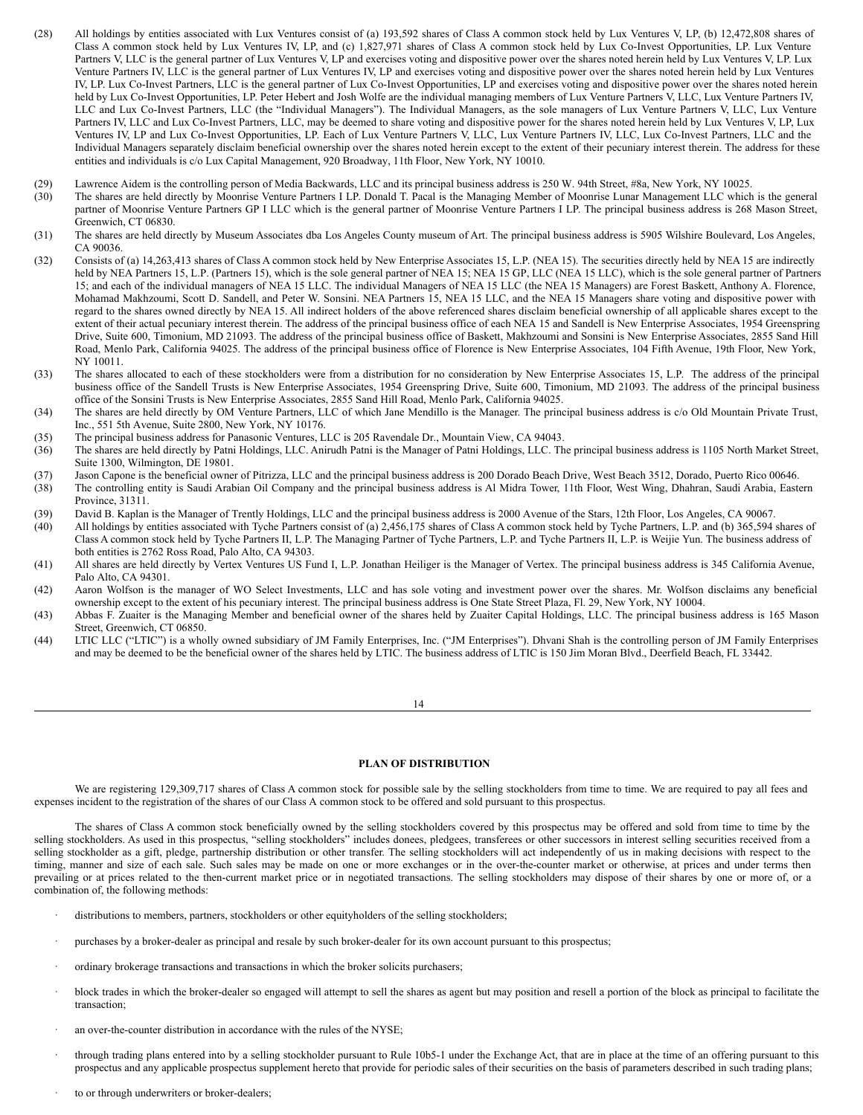- (28) All holdings by entities associated with Lux Ventures consist of (a) 193,592 shares of Class A common stock held by Lux Ventures V, LP, (b) 12,472,808 shares of Class A common stock held by Lux Ventures IV, LP, and (c) 1,827,971 shares of Class A common stock held by Lux Co-Invest Opportunities, LP. Lux Venture Partners V, LLC is the general partner of Lux Ventures V, LP and exercises voting and dispositive power over the shares noted herein held by Lux Ventures V, LP. Lux Venture Partners IV, LLC is the general partner of Lux Ventures IV, LP and exercises voting and dispositive power over the shares noted herein held by Lux Ventures IV, LP. Lux Co-Invest Partners, LLC is the general partner of Lux Co-Invest Opportunities, LP and exercises voting and dispositive power over the shares noted herein held by Lux Co-Invest Opportunities, LP. Peter Hebert and Josh Wolfe are the individual managing members of Lux Venture Partners V, LLC, Lux Venture Partners IV, LLC and Lux Co-Invest Partners, LLC (the "Individual Managers"). The Individual Managers, as the sole managers of Lux Venture Partners V, LLC, Lux Venture Partners IV, LLC and Lux Co-Invest Partners, LLC, may be deemed to share voting and dispositive power for the shares noted herein held by Lux Ventures V, LP, Lux Ventures IV, LP and Lux Co-Invest Opportunities, LP. Each of Lux Venture Partners V, LLC, Lux Venture Partners IV, LLC, Lux Co-Invest Partners, LLC and the Individual Managers separately disclaim beneficial ownership over the shares noted herein except to the extent of their pecuniary interest therein. The address for these entities and individuals is c/o Lux Capital Management, 920 Broadway, 11th Floor, New York, NY 10010.
- (29) Lawrence Aidem is the controlling person of Media Backwards, LLC and its principal business address is 250 W. 94th Street, #8a, New York, NY 10025.<br>(30) The shares are held directly by Moonrise Venture Partners I LP.
- The shares are held directly by Moonrise Venture Partners I LP. Donald T. Pacal is the Managing Member of Moonrise Lunar Management LLC which is the general partner of Moonrise Venture Partners GP I LLC which is the general partner of Moonrise Venture Partners I LP. The principal business address is 268 Mason Street, Greenwich, CT 06830.
- (31) The shares are held directly by Museum Associates dba Los Angeles County museum of Art. The principal business address is 5905 Wilshire Boulevard, Los Angeles, CA 90036.
- (32) Consists of (a) 14,263,413 shares of Class A common stock held by New Enterprise Associates 15, L.P. (NEA 15). The securities directly held by NEA 15 are indirectly held by NEA Partners 15, L.P. (Partners 15), which is the sole general partner of NEA 15; NEA 15 GP, LLC (NEA 15 LLC), which is the sole general partner of Partners 15; and each of the individual managers of NEA 15 LLC. The individual Managers of NEA 15 LLC (the NEA 15 Managers) are Forest Baskett, Anthony A. Florence, Mohamad Makhzoumi, Scott D. Sandell, and Peter W. Sonsini. NEA Partners 15, NEA 15 LLC, and the NEA 15 Managers share voting and dispositive power with regard to the shares owned directly by NEA 15. All indirect holders of the above referenced shares disclaim beneficial ownership of all applicable shares except to the extent of their actual pecuniary interest therein. The address of the principal business office of each NEA 15 and Sandell is New Enterprise Associates, 1954 Greenspring Drive, Suite 600, Timonium, MD 21093. The address of the principal business office of Baskett, Makhzoumi and Sonsini is New Enterprise Associates, 2855 Sand Hill Road, Menlo Park, California 94025. The address of the principal business office of Florence is New Enterprise Associates, 104 Fifth Avenue, 19th Floor, New York, NY 10011.
- (33) The shares allocated to each of these stockholders were from a distribution for no consideration by New Enterprise Associates 15, L.P. The address of the principal business office of the Sandell Trusts is New Enterprise Associates, 1954 Greenspring Drive, Suite 600, Timonium, MD 21093. The address of the principal business office of the Sonsini Trusts is New Enterprise Associates, 2855 Sand Hill Road, Menlo Park, California 94025.
- (34) The shares are held directly by OM Venture Partners, LLC of which Jane Mendillo is the Manager. The principal business address is c/o Old Mountain Private Trust, Inc., 551 5th Avenue, Suite 2800, New York, NY 10176.
- (35) The principal business address for Panasonic Ventures, LLC is 205 Ravendale Dr., Mountain View, CA 94043.
- (36) The shares are held directly by Patni Holdings, LLC. Anirudh Patni is the Manager of Patni Holdings, LLC. The principal business address is 1105 North Market Street, Suite 1300, Wilmington, DE 19801.
- (37) Jason Capone is the beneficial owner of Pitrizza, LLC and the principal business address is 200 Dorado Beach Drive, West Beach 3512, Dorado, Puerto Rico 00646.
- (38) The controlling entity is Saudi Arabian Oil Company and the principal business address is Al Midra Tower, 11th Floor, West Wing, Dhahran, Saudi Arabia, Eastern Province, 31311.
- (39) David B. Kaplan is the Manager of Trently Holdings, LLC and the principal business address is 2000 Avenue of the Stars, 12th Floor, Los Angeles, CA 90067.
- (40) All holdings by entities associated with Tyche Partners consist of (a) 2,456,175 shares of Class A common stock held by Tyche Partners, L.P. and (b) 365,594 shares of Class A common stock held by Tyche Partners II, L.P. The Managing Partner of Tyche Partners, L.P. and Tyche Partners II, L.P. is Weijie Yun. The business address of both entities is 2762 Ross Road, Palo Alto, CA 94303.
- (41) All shares are held directly by Vertex Ventures US Fund I, L.P. Jonathan Heiliger is the Manager of Vertex. The principal business address is 345 California Avenue, Palo Alto, CA 94301.
- (42) Aaron Wolfson is the manager of WO Select Investments, LLC and has sole voting and investment power over the shares. Mr. Wolfson disclaims any beneficial ownership except to the extent of his pecuniary interest. The principal business address is One State Street Plaza, Fl. 29, New York, NY 10004.
- (43) Abbas F. Zuaiter is the Managing Member and beneficial owner of the shares held by Zuaiter Capital Holdings, LLC. The principal business address is 165 Mason Street, Greenwich, CT 06850.
- (44) LTIC LLC ("LTIC") is a wholly owned subsidiary of JM Family Enterprises, Inc. ("JM Enterprises"). Dhvani Shah is the controlling person of JM Family Enterprises and may be deemed to be the beneficial owner of the shares held by LTIC. The business address of LTIC is 150 Jim Moran Blvd., Deerfield Beach, FL 33442.

#### <span id="page-9-0"></span>**PLAN OF DISTRIBUTION**

We are registering 129,309,717 shares of Class A common stock for possible sale by the selling stockholders from time to time. We are required to pay all fees and expenses incident to the registration of the shares of our Class A common stock to be offered and sold pursuant to this prospectus.

The shares of Class A common stock beneficially owned by the selling stockholders covered by this prospectus may be offered and sold from time to time by the selling stockholders. As used in this prospectus, "selling stockholders" includes donees, pledgees, transferees or other successors in interest selling securities received from a selling stockholder as a gift, pledge, partnership distribution or other transfer. The selling stockholders will act independently of us in making decisions with respect to the timing, manner and size of each sale. Such sales may be made on one or more exchanges or in the over-the-counter market or otherwise, at prices and under terms then prevailing or at prices related to the then-current market price or in negotiated transactions. The selling stockholders may dispose of their shares by one or more of, or a combination of, the following methods:

- distributions to members, partners, stockholders or other equityholders of the selling stockholders;
- purchases by a broker-dealer as principal and resale by such broker-dealer for its own account pursuant to this prospectus;
- · ordinary brokerage transactions and transactions in which the broker solicits purchasers;
- block trades in which the broker-dealer so engaged will attempt to sell the shares as agent but may position and resell a portion of the block as principal to facilitate the transaction;
- an over-the-counter distribution in accordance with the rules of the NYSE;
- · through trading plans entered into by a selling stockholder pursuant to Rule 10b5-1 under the Exchange Act, that are in place at the time of an offering pursuant to this prospectus and any applicable prospectus supplement hereto that provide for periodic sales of their securities on the basis of parameters described in such trading plans;
- to or through underwriters or broker-dealers;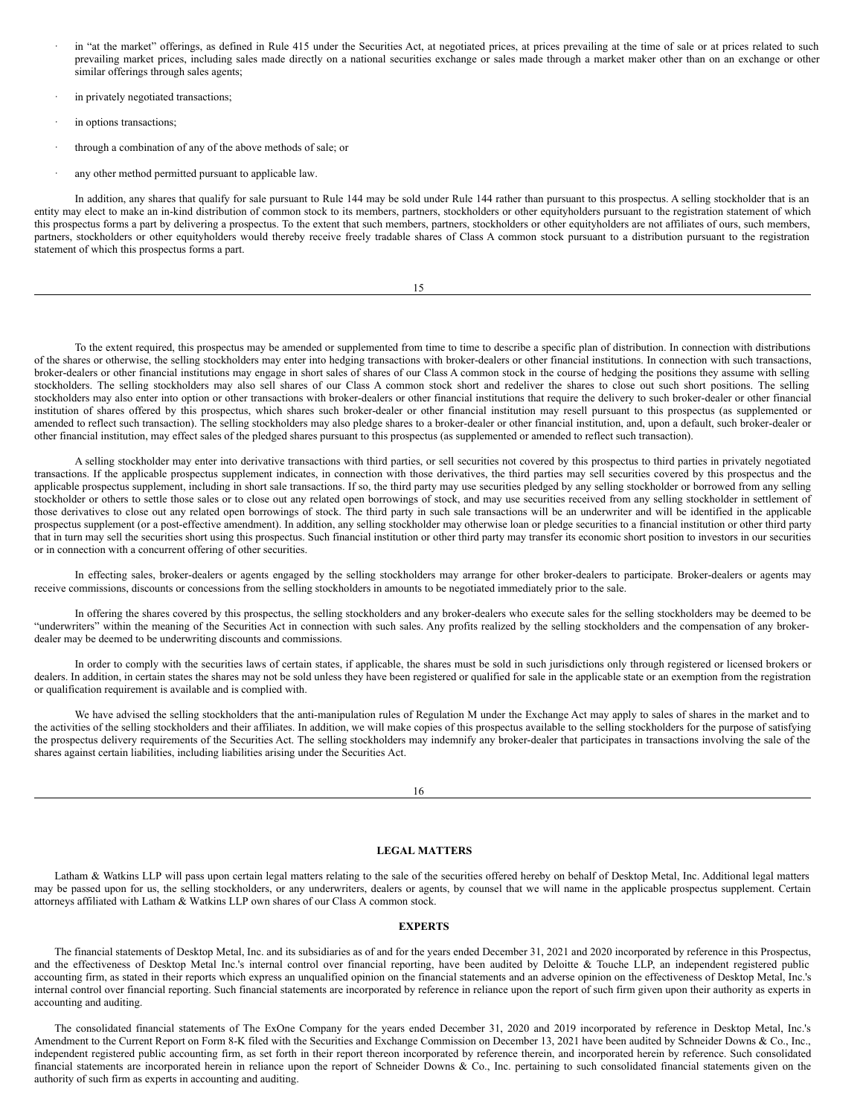- in "at the market" offerings, as defined in Rule 415 under the Securities Act, at negotiated prices, at prices prevailing at the time of sale or at prices related to such prevailing market prices, including sales made directly on a national securities exchange or sales made through a market maker other than on an exchange or other similar offerings through sales agents;
- in privately negotiated transactions;
- in options transactions;
- through a combination of any of the above methods of sale; or
- any other method permitted pursuant to applicable law.

In addition, any shares that qualify for sale pursuant to Rule 144 may be sold under Rule 144 rather than pursuant to this prospectus. A selling stockholder that is an entity may elect to make an in-kind distribution of common stock to its members, partners, stockholders or other equityholders pursuant to the registration statement of which this prospectus forms a part by delivering a prospectus. To the extent that such members, partners, stockholders or other equityholders are not affiliates of ours, such members, partners, stockholders or other equityholders would thereby receive freely tradable shares of Class A common stock pursuant to a distribution pursuant to the registration statement of which this prospectus forms a part.

| ۰.<br>× |
|---------|

To the extent required, this prospectus may be amended or supplemented from time to time to describe a specific plan of distribution. In connection with distributions of the shares or otherwise, the selling stockholders may enter into hedging transactions with broker-dealers or other financial institutions. In connection with such transactions, broker-dealers or other financial institutions may engage in short sales of shares of our Class A common stock in the course of hedging the positions they assume with selling stockholders. The selling stockholders may also sell shares of our Class A common stock short and redeliver the shares to close out such short positions. The selling stockholders may also enter into option or other transactions with broker-dealers or other financial institutions that require the delivery to such broker-dealer or other financial institution of shares offered by this prospectus, which shares such broker-dealer or other financial institution may resell pursuant to this prospectus (as supplemented or amended to reflect such transaction). The selling stockholders may also pledge shares to a broker-dealer or other financial institution, and, upon a default, such broker-dealer or other financial institution, may effect sales of the pledged shares pursuant to this prospectus (as supplemented or amended to reflect such transaction).

A selling stockholder may enter into derivative transactions with third parties, or sell securities not covered by this prospectus to third parties in privately negotiated transactions. If the applicable prospectus supplement indicates, in connection with those derivatives, the third parties may sell securities covered by this prospectus and the applicable prospectus supplement, including in short sale transactions. If so, the third party may use securities pledged by any selling stockholder or borrowed from any selling stockholder or others to settle those sales or to close out any related open borrowings of stock, and may use securities received from any selling stockholder in settlement of those derivatives to close out any related open borrowings of stock. The third party in such sale transactions will be an underwriter and will be identified in the applicable prospectus supplement (or a post-effective amendment). In addition, any selling stockholder may otherwise loan or pledge securities to a financial institution or other third party that in turn may sell the securities short using this prospectus. Such financial institution or other third party may transfer its economic short position to investors in our securities or in connection with a concurrent offering of other securities.

In effecting sales, broker-dealers or agents engaged by the selling stockholders may arrange for other broker-dealers to participate. Broker-dealers or agents may receive commissions, discounts or concessions from the selling stockholders in amounts to be negotiated immediately prior to the sale.

In offering the shares covered by this prospectus, the selling stockholders and any broker-dealers who execute sales for the selling stockholders may be deemed to be "underwriters" within the meaning of the Securities Act in connection with such sales. Any profits realized by the selling stockholders and the compensation of any brokerdealer may be deemed to be underwriting discounts and commissions.

In order to comply with the securities laws of certain states, if applicable, the shares must be sold in such jurisdictions only through registered or licensed brokers or dealers. In addition, in certain states the shares may not be sold unless they have been registered or qualified for sale in the applicable state or an exemption from the registration or qualification requirement is available and is complied with.

We have advised the selling stockholders that the anti-manipulation rules of Regulation M under the Exchange Act may apply to sales of shares in the market and to the activities of the selling stockholders and their affiliates. In addition, we will make copies of this prospectus available to the selling stockholders for the purpose of satisfying the prospectus delivery requirements of the Securities Act. The selling stockholders may indemnify any broker-dealer that participates in transactions involving the sale of the shares against certain liabilities, including liabilities arising under the Securities Act.

## <span id="page-10-0"></span>**LEGAL MATTERS**

Latham & Watkins LLP will pass upon certain legal matters relating to the sale of the securities offered hereby on behalf of Desktop Metal, Inc. Additional legal matters may be passed upon for us, the selling stockholders, or any underwriters, dealers or agents, by counsel that we will name in the applicable prospectus supplement. Certain attorneys affiliated with Latham & Watkins LLP own shares of our Class A common stock.

#### <span id="page-10-1"></span>**EXPERTS**

The financial statements of Desktop Metal, Inc. and its subsidiaries as of and for the years ended December 31, 2021 and 2020 incorporated by reference in this Prospectus, and the effectiveness of Desktop Metal Inc.'s internal control over financial reporting, have been audited by Deloitte & Touche LLP, an independent registered public accounting firm, as stated in their reports which express an unqualified opinion on the financial statements and an adverse opinion on the effectiveness of Desktop Metal, Inc.'s internal control over financial reporting. Such financial statements are incorporated by reference in reliance upon the report of such firm given upon their authority as experts in accounting and auditing.

The consolidated financial statements of The ExOne Company for the years ended December 31, 2020 and 2019 incorporated by reference in Desktop Metal, Inc.'s Amendment to the Current Report on Form 8-K filed with the Securities and Exchange Commission on December 13, 2021 have been audited by Schneider Downs & Co., Inc., independent registered public accounting firm, as set forth in their report thereon incorporated by reference therein, and incorporated herein by reference. Such consolidated financial statements are incorporated herein in reliance upon the report of Schneider Downs & Co., Inc. pertaining to such consolidated financial statements given on the authority of such firm as experts in accounting and auditing.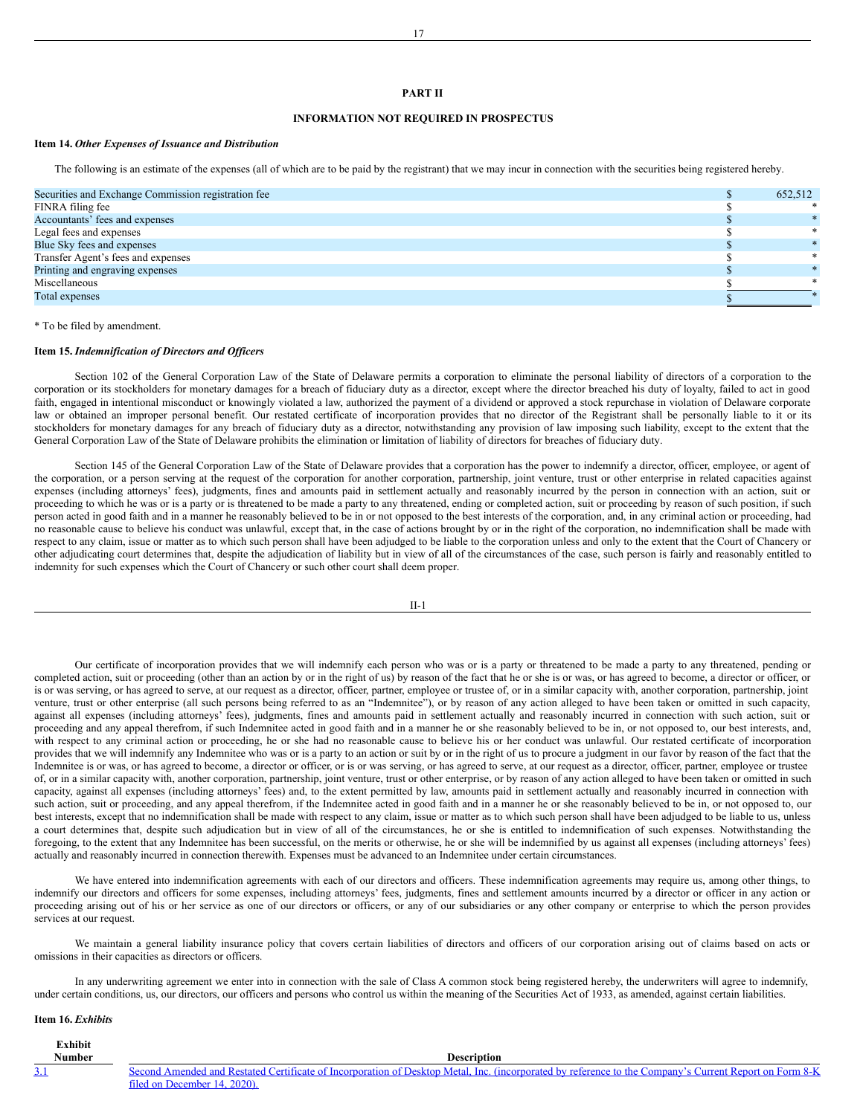#### **PART II**

## **INFORMATION NOT REQUIRED IN PROSPECTUS**

## **Item 14.** *Other Expenses of Issuance and Distribution*

The following is an estimate of the expenses (all of which are to be paid by the registrant) that we may incur in connection with the securities being registered hereby.

| Securities and Exchange Commission registration fee | 652,512 |
|-----------------------------------------------------|---------|
| FINRA filing fee                                    |         |
| Accountants' fees and expenses                      |         |
| Legal fees and expenses                             |         |
| Blue Sky fees and expenses                          |         |
| Transfer Agent's fees and expenses                  |         |
| Printing and engraving expenses                     |         |
| Miscellaneous                                       |         |
| Total expenses                                      |         |
|                                                     |         |

\* To be filed by amendment.

#### **Item 15.** *Indemnification of Directors and Of icers*

Section 102 of the General Corporation Law of the State of Delaware permits a corporation to eliminate the personal liability of directors of a corporation to the corporation or its stockholders for monetary damages for a breach of fiduciary duty as a director, except where the director breached his duty of loyalty, failed to act in good faith, engaged in intentional misconduct or knowingly violated a law, authorized the payment of a dividend or approved a stock repurchase in violation of Delaware corporate law or obtained an improper personal benefit. Our restated certificate of incorporation provides that no director of the Registrant shall be personally liable to it or its stockholders for monetary damages for any breach of fiduciary duty as a director, notwithstanding any provision of law imposing such liability, except to the extent that the General Corporation Law of the State of Delaware prohibits the elimination or limitation of liability of directors for breaches of fiduciary duty.

Section 145 of the General Corporation Law of the State of Delaware provides that a corporation has the power to indemnify a director, officer, employee, or agent of the corporation, or a person serving at the request of the corporation for another corporation, partnership, joint venture, trust or other enterprise in related capacities against expenses (including attorneys' fees), judgments, fines and amounts paid in settlement actually and reasonably incurred by the person in connection with an action, suit or proceeding to which he was or is a party or is threatened to be made a party to any threatened, ending or completed action, suit or proceeding by reason of such position, if such person acted in good faith and in a manner he reasonably believed to be in or not opposed to the best interests of the corporation, and, in any criminal action or proceeding, had no reasonable cause to believe his conduct was unlawful, except that, in the case of actions brought by or in the right of the corporation, no indemnification shall be made with respect to any claim, issue or matter as to which such person shall have been adjudged to be liable to the corporation unless and only to the extent that the Court of Chancery or other adjudicating court determines that, despite the adjudication of liability but in view of all of the circumstances of the case, such person is fairly and reasonably entitled to indemnity for such expenses which the Court of Chancery or such other court shall deem proper.

| - |
|---|
|---|

Our certificate of incorporation provides that we will indemnify each person who was or is a party or threatened to be made a party to any threatened, pending or completed action, suit or proceeding (other than an action by or in the right of us) by reason of the fact that he or she is or was, or has agreed to become, a director or officer, or is or was serving, or has agreed to serve, at our request as a director, officer, partner, employee or trustee of, or in a similar capacity with, another corporation, partnership, joint venture, trust or other enterprise (all such persons being referred to as an "Indemnitee"), or by reason of any action alleged to have been taken or omitted in such capacity, against all expenses (including attorneys' fees), judgments, fines and amounts paid in settlement actually and reasonably incurred in connection with such action, suit or proceeding and any appeal therefrom, if such Indemnitee acted in good faith and in a manner he or she reasonably believed to be in, or not opposed to, our best interests, and, with respect to any criminal action or proceeding, he or she had no reasonable cause to believe his or her conduct was unlawful. Our restated certificate of incorporation provides that we will indemnify any Indemnitee who was or is a party to an action or suit by or in the right of us to procure a judgment in our favor by reason of the fact that the Indemnitee is or was, or has agreed to become, a director or officer, or is or was serving, or has agreed to serve, at our request as a director, officer, partner, employee or trustee of, or in a similar capacity with, another corporation, partnership, joint venture, trust or other enterprise, or by reason of any action alleged to have been taken or omitted in such capacity, against all expenses (including attorneys' fees) and, to the extent permitted by law, amounts paid in settlement actually and reasonably incurred in connection with such action, suit or proceeding, and any appeal therefrom, if the Indemnitee acted in good faith and in a manner he or she reasonably believed to be in, or not opposed to, our best interests, except that no indemnification shall be made with respect to any claim, issue or matter as to which such person shall have been adjudged to be liable to us, unless a court determines that, despite such adjudication but in view of all of the circumstances, he or she is entitled to indemnification of such expenses. Notwithstanding the foregoing, to the extent that any Indemnitee has been successful, on the merits or otherwise, he or she will be indemnified by us against all expenses (including attorneys' fees) actually and reasonably incurred in connection therewith. Expenses must be advanced to an Indemnitee under certain circumstances.

We have entered into indemnification agreements with each of our directors and officers. These indemnification agreements may require us, among other things, to indemnify our directors and officers for some expenses, including attorneys' fees, judgments, fines and settlement amounts incurred by a director or officer in any action or proceeding arising out of his or her service as one of our directors or officers, or any of our subsidiaries or any other company or enterprise to which the person provides services at our request.

We maintain a general liability insurance policy that covers certain liabilities of directors and officers of our corporation arising out of claims based on acts or omissions in their capacities as directors or officers.

In any underwriting agreement we enter into in connection with the sale of Class A common stock being registered hereby, the underwriters will agree to indemnify, under certain conditions, us, our directors, our officers and persons who control us within the meaning of the Securities Act of 1933, as amended, against certain liabilities.

#### **Item 16.** *Exhibits*

| lxhibit    |                                                                                                                                                                                        |
|------------|----------------------------------------------------------------------------------------------------------------------------------------------------------------------------------------|
| Number     | <b>Description</b>                                                                                                                                                                     |
| <u>3.1</u> | Second Amended and Restated Certificate of Incorporation of Desktop Metal. Inc. (incorporated by reference to the Company's Current Report on Form 8-K<br>filed on December 14, 2020). |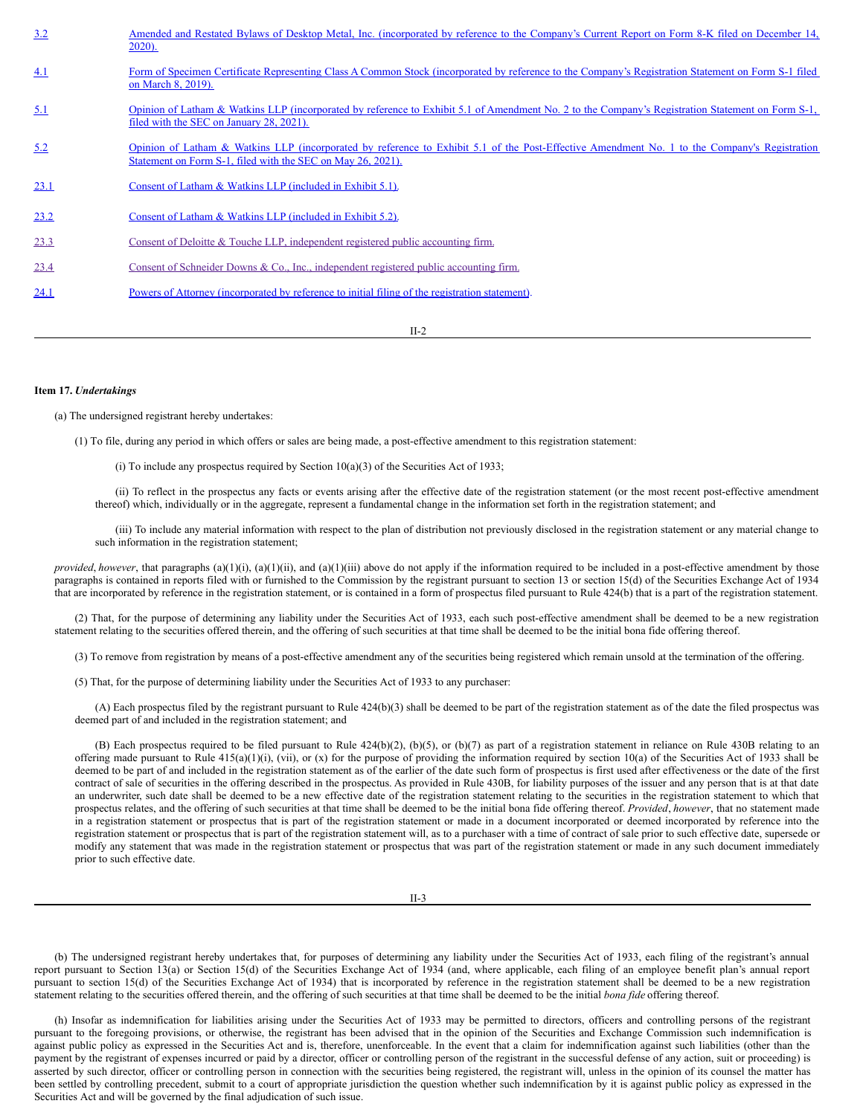| 3.2  | Amended and Restated Bylaws of Desktop Metal, Inc. (incorporated by reference to the Company's Current Report on Form 8-K filed on December 14,<br>$2020$ ).                                                 |
|------|--------------------------------------------------------------------------------------------------------------------------------------------------------------------------------------------------------------|
| 4.1  | Form of Specimen Certificate Representing Class A Common Stock (incorporated by reference to the Company's Registration Statement on Form S-1 filed<br>on March 8, 2019).                                    |
| 5.1  | Opinion of Latham & Watkins LLP (incorporated by reference to Exhibit 5.1 of Amendment No. 2 to the Company's Registration Statement on Form S-1,<br>filed with the SEC on January 28, 2021).                |
| 5.2  | Opinion of Latham & Watkins LLP (incorporated by reference to Exhibit 5.1 of the Post-Effective Amendment No. 1 to the Company's Registration<br>Statement on Form S-1, filed with the SEC on May 26, 2021). |
| 23.1 | Consent of Latham & Watkins LLP (included in Exhibit 5.1).                                                                                                                                                   |
| 23.2 | Consent of Latham & Watkins LLP (included in Exhibit 5.2).                                                                                                                                                   |
| 23.3 | Consent of Deloitte & Touche LLP, independent registered public accounting firm.                                                                                                                             |
| 23.4 | Consent of Schneider Downs & Co., Inc., independent registered public accounting firm.                                                                                                                       |
| 24.1 | Powers of Attorney (incorporated by reference to initial filing of the registration statement).                                                                                                              |
|      |                                                                                                                                                                                                              |

II-2

#### **Item 17.** *Undertakings*

(a) The undersigned registrant hereby undertakes:

(1) To file, during any period in which offers or sales are being made, a post-effective amendment to this registration statement:

(i) To include any prospectus required by Section  $10(a)(3)$  of the Securities Act of 1933;

(ii) To reflect in the prospectus any facts or events arising after the effective date of the registration statement (or the most recent post-effective amendment thereof) which, individually or in the aggregate, represent a fundamental change in the information set forth in the registration statement; and

(iii) To include any material information with respect to the plan of distribution not previously disclosed in the registration statement or any material change to such information in the registration statement;

*provided, however*, that paragraphs (a)(1)(i), (a)(1)(ii), and (a)(1)(iii) above do not apply if the information required to be included in a post-effective amendment by those paragraphs is contained in reports filed with or furnished to the Commission by the registrant pursuant to section 13 or section 15(d) of the Securities Exchange Act of 1934 that are incorporated by reference in the registration statement, or is contained in a form of prospectus filed pursuant to Rule 424(b) that is a part of the registration statement.

(2) That, for the purpose of determining any liability under the Securities Act of 1933, each such post-effective amendment shall be deemed to be a new registration statement relating to the securities offered therein, and the offering of such securities at that time shall be deemed to be the initial bona fide offering thereof.

(3) To remove from registration by means of a post-effective amendment any of the securities being registered which remain unsold at the termination of the offering.

(5) That, for the purpose of determining liability under the Securities Act of 1933 to any purchaser:

(A) Each prospectus filed by the registrant pursuant to Rule 424(b)(3) shall be deemed to be part of the registration statement as of the date the filed prospectus was deemed part of and included in the registration statement; and

(B) Each prospectus required to be filed pursuant to Rule  $424(b)(2)$ ,  $(b)(5)$ , or  $(b)(7)$  as part of a registration statement in reliance on Rule 430B relating to an offering made pursuant to Rule  $415(a)(1)(i)$ , (vii), or (x) for the purpose of providing the information required by section  $10(a)$  of the Securities Act of 1933 shall be deemed to be part of and included in the registration statement as of the earlier of the date such form of prospectus is first used after effectiveness or the date of the first contract of sale of securities in the offering described in the prospectus. As provided in Rule 430B, for liability purposes of the issuer and any person that is at that date an underwriter, such date shall be deemed to be a new effective date of the registration statement relating to the securities in the registration statement to which that prospectus relates, and the offering of such securities at that time shall be deemed to be the initial bona fide offering thereof. *Provided*, *however*, that no statement made in a registration statement or prospectus that is part of the registration statement or made in a document incorporated or deemed incorporated by reference into the registration statement or prospectus that is part of the registration statement will, as to a purchaser with a time of contract of sale prior to such effective date, supersede or modify any statement that was made in the registration statement or prospectus that was part of the registration statement or made in any such document immediately prior to such effective date.

(b) The undersigned registrant hereby undertakes that, for purposes of determining any liability under the Securities Act of 1933, each filing of the registrant's annual report pursuant to Section 13(a) or Section 15(d) of the Securities Exchange Act of 1934 (and, where applicable, each filing of an employee benefit plan's annual report pursuant to section 15(d) of the Securities Exchange Act of 1934) that is incorporated by reference in the registration statement shall be deemed to be a new registration statement relating to the securities offered therein, and the offering of such securities at that time shall be deemed to be the initial *bona fide* offering thereof.

(h) Insofar as indemnification for liabilities arising under the Securities Act of 1933 may be permitted to directors, officers and controlling persons of the registrant pursuant to the foregoing provisions, or otherwise, the registrant has been advised that in the opinion of the Securities and Exchange Commission such indemnification is against public policy as expressed in the Securities Act and is, therefore, unenforceable. In the event that a claim for indemnification against such liabilities (other than the payment by the registrant of expenses incurred or paid by a director, officer or controlling person of the registrant in the successful defense of any action, suit or proceeding) is asserted by such director, officer or controlling person in connection with the securities being registered, the registrant will, unless in the opinion of its counsel the matter has been settled by controlling precedent, submit to a court of appropriate jurisdiction the question whether such indemnification by it is against public policy as expressed in the Securities Act and will be governed by the final adjudication of such issue.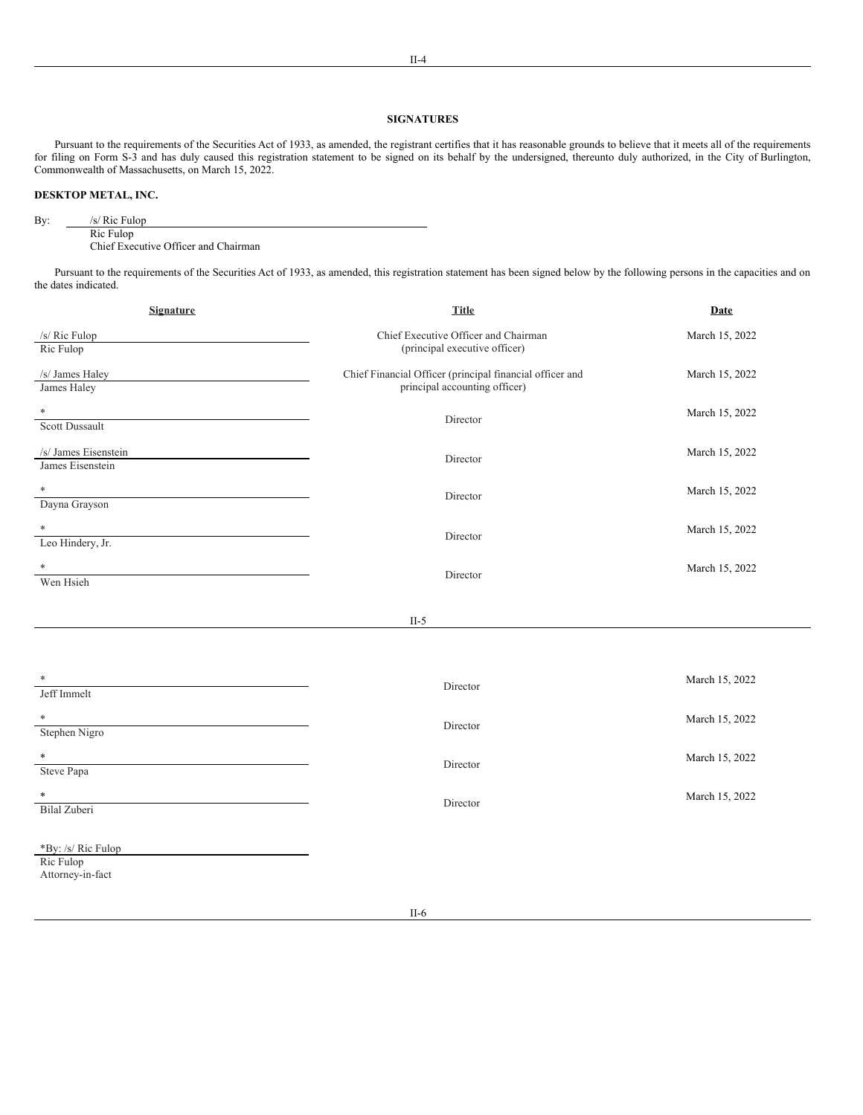## **SIGNATURES**

Pursuant to the requirements of the Securities Act of 1933, as amended, the registrant certifies that it has reasonable grounds to believe that it meets all of the requirements for filing on Form S-3 and has duly caused this registration statement to be signed on its behalf by the undersigned, thereunto duly authorized, in the City of Burlington, Commonwealth of Massachusetts, on March 15, 2022.

## **DESKTOP METAL, INC.**

By: /s/ Ric Fulop Ric Fulop

Chief Executive Officer and Chairman

Pursuant to the requirements of the Securities Act of 1933, as amended, this registration statement has been signed below by the following persons in the capacities and on the dates indicated.

| <b>Signature</b>                                    | <b>Title</b>                                                                              | <b>Date</b>    |
|-----------------------------------------------------|-------------------------------------------------------------------------------------------|----------------|
| /s/ Ric Fulop<br>Ric Fulop                          | Chief Executive Officer and Chairman<br>(principal executive officer)                     | March 15, 2022 |
| /s/ James Haley<br>James Haley                      | Chief Financial Officer (principal financial officer and<br>principal accounting officer) | March 15, 2022 |
| $\ast$<br><b>Scott Dussault</b>                     | Director                                                                                  | March 15, 2022 |
| /s/ James Eisenstein<br>James Eisenstein            | Director                                                                                  | March 15, 2022 |
| $\ast$<br>Dayna Grayson                             | Director                                                                                  | March 15, 2022 |
| Leo Hindery, Jr.                                    | Director                                                                                  | March 15, 2022 |
| *<br>Wen Hsieh                                      | Director                                                                                  | March 15, 2022 |
|                                                     | $II-5$                                                                                    |                |
|                                                     |                                                                                           |                |
| Jeff Immelt                                         | Director                                                                                  | March 15, 2022 |
| $\ast$<br>Stephen Nigro                             | Director                                                                                  | March 15, 2022 |
| Steve Papa                                          | Director                                                                                  | March 15, 2022 |
| $\ast$<br>Bilal Zuberi                              | Director                                                                                  | March 15, 2022 |
| *By: /s/ Ric Fulop<br>Ric Fulop<br>Attorney-in-fact | $-$                                                                                       |                |

II-6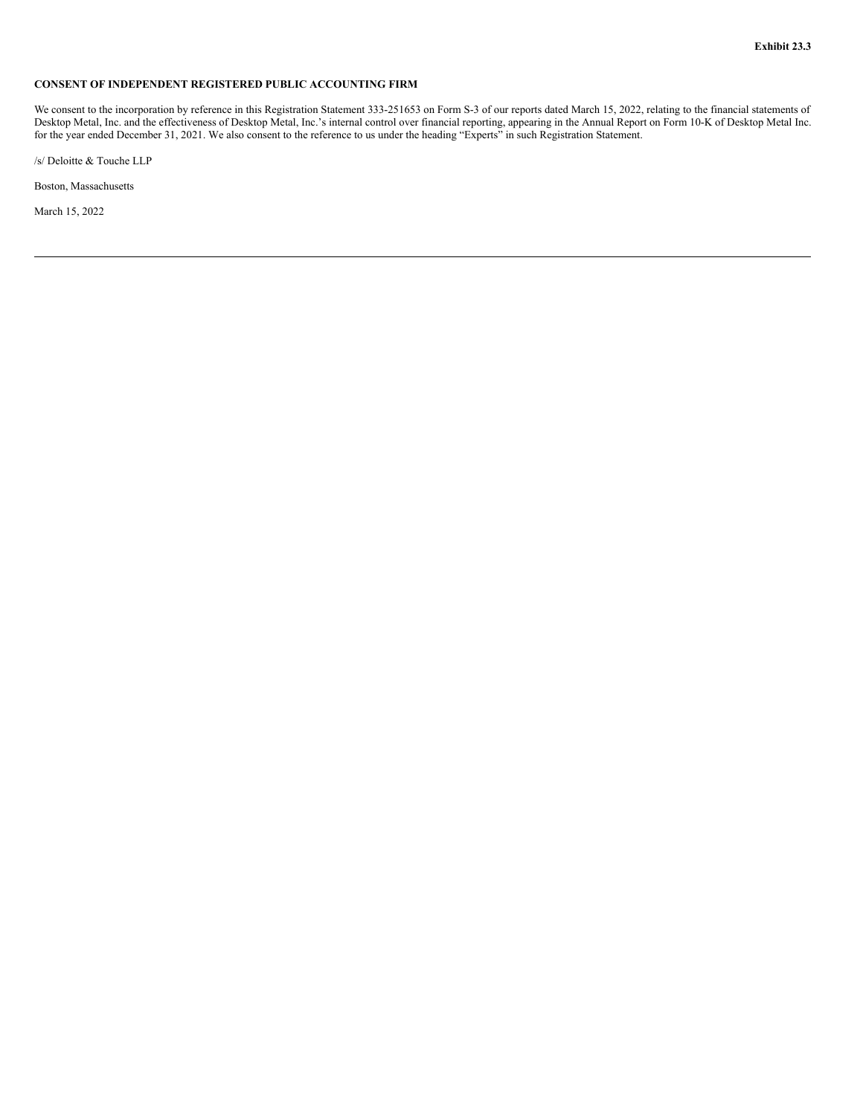## <span id="page-14-0"></span>**CONSENT OF INDEPENDENT REGISTERED PUBLIC ACCOUNTING FIRM**

We consent to the incorporation by reference in this Registration Statement 333-251653 on Form S-3 of our reports dated March 15, 2022, relating to the financial statements of Desktop Metal, Inc. and the effectiveness of Desktop Metal, Inc.'s internal control over financial reporting, appearing in the Annual Report on Form 10-K of Desktop Metal Inc. for the year ended December 31, 2021. We also consent to the reference to us under the heading "Experts" in such Registration Statement.

/s/ Deloitte & Touche LLP

Boston, Massachusetts

March 15, 2022